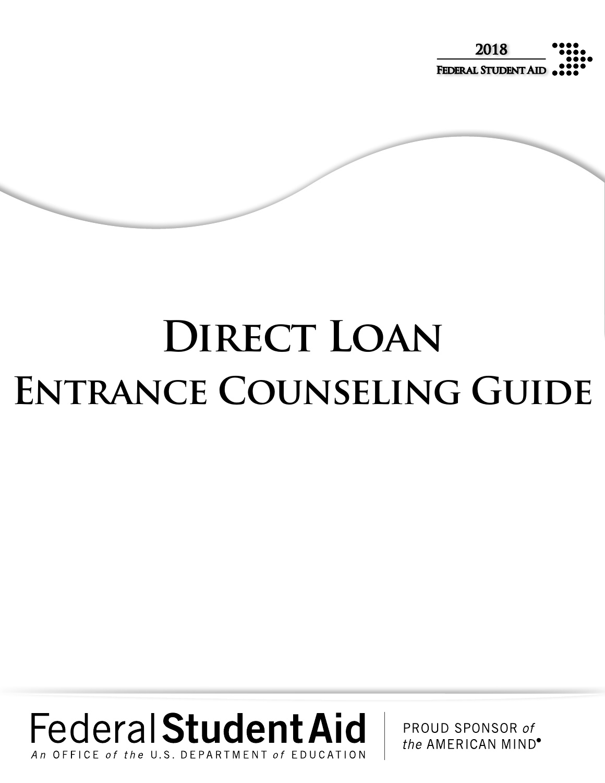

# DIRECT LOAN **Entrance Counseling Guide**

# **Federal Student Aid** OFFICE of the U.S. DEPARTMENT

PROUD SPONSOR of the AMERICAN MIND<sup>®</sup>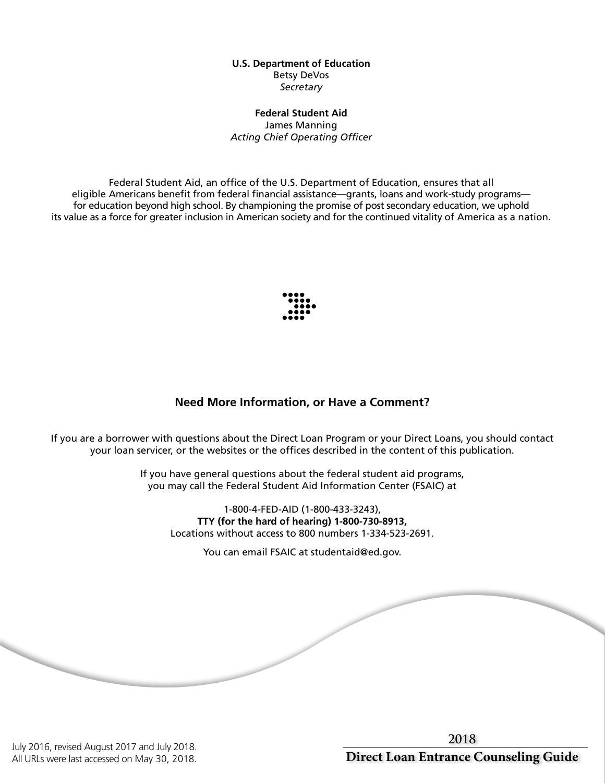#### **U.S. Department of Education** Betsy DeVos *Secretary*

#### **Federal Student Aid** James Manning *Acting Chief Operating Officer*

Federal Student Aid, an office of the U.S. Department of Education, ensures that all eligible Americans benefit from federal financial assistance—grants, loans and work-study programs for education beyond high school. By championing the promise of post secondary education, we uphold its value as a force for greater inclusion in American society and for the continued vitality of America as a nation.



# **Need More Information, or Have a Comment?**

If you are a borrower with questions about the Direct Loan Program or your Direct Loans, you should contact your loan servicer, or the websites or the offices described in the content of this publication.

> If you have general questions about the federal student aid programs, you may call the Federal Student Aid Information Center (FSAIC) at

1-800-4-FED-AID (1-800-433-3243), **TTY (for the hard of hearing) 1-800-730-8913,** Locations without access to 800 numbers 1-334-523-2691.

You can email FSAIC at studentaid@ed.gov.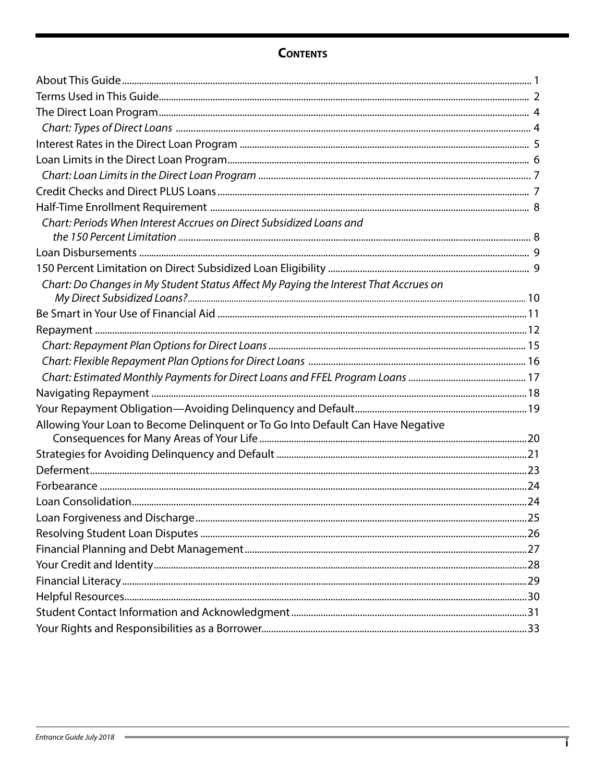# **CONTENTS**

| Chart: Periods When Interest Accrues on Direct Subsidized Loans and                  |  |
|--------------------------------------------------------------------------------------|--|
|                                                                                      |  |
|                                                                                      |  |
| Chart: Do Changes in My Student Status Affect My Paying the Interest That Accrues on |  |
|                                                                                      |  |
|                                                                                      |  |
|                                                                                      |  |
|                                                                                      |  |
|                                                                                      |  |
|                                                                                      |  |
|                                                                                      |  |
| Allowing Your Loan to Become Delinquent or To Go Into Default Can Have Negative      |  |
|                                                                                      |  |
|                                                                                      |  |
|                                                                                      |  |
|                                                                                      |  |
|                                                                                      |  |
|                                                                                      |  |
|                                                                                      |  |
|                                                                                      |  |
|                                                                                      |  |
|                                                                                      |  |
|                                                                                      |  |
|                                                                                      |  |
|                                                                                      |  |
|                                                                                      |  |

 $\overline{\phantom{a}}$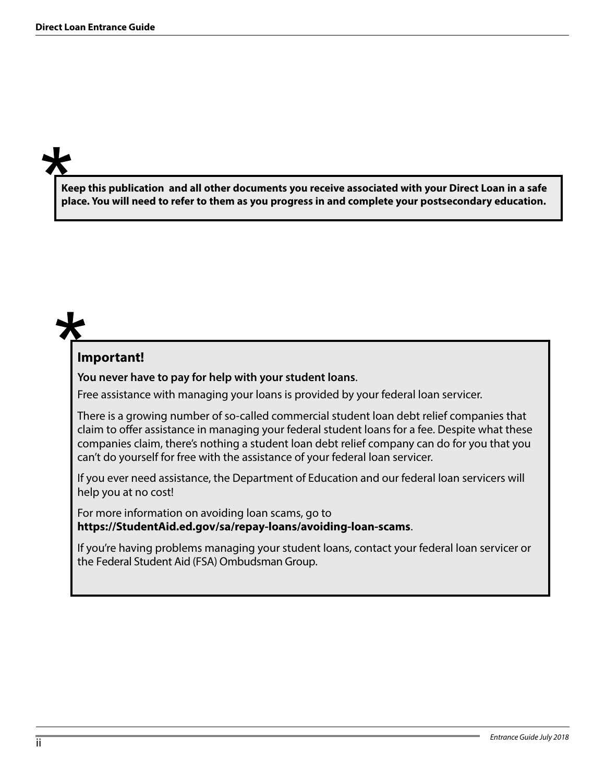**Keep this publication and all other documents you receive associated with your Direct Loan in a safe place. You will need to refer to them as you progress in and complete your postsecondary education.** 

# **Important!**

**You never have to pay for help with your student loans**.

Free assistance with managing your loans is provided by your federal loan servicer.

There is a growing number of so-called commercial student loan debt relief companies that claim to offer assistance in managing your federal student loans for a fee. Despite what these companies claim, there's nothing a student loan debt relief company can do for you that you can't do yourself for free with the assistance of your federal loan servicer.

If you ever need assistance, the Department of Education and our federal loan servicers will help you at no cost!

For more information on avoiding loan scams, go to **https://StudentAid.ed.gov/sa/repay-loans/avoiding-loan-scams**.

If you're having problems managing your student loans, contact your federal loan servicer or the Federal Student Aid (FSA) Ombudsman Group.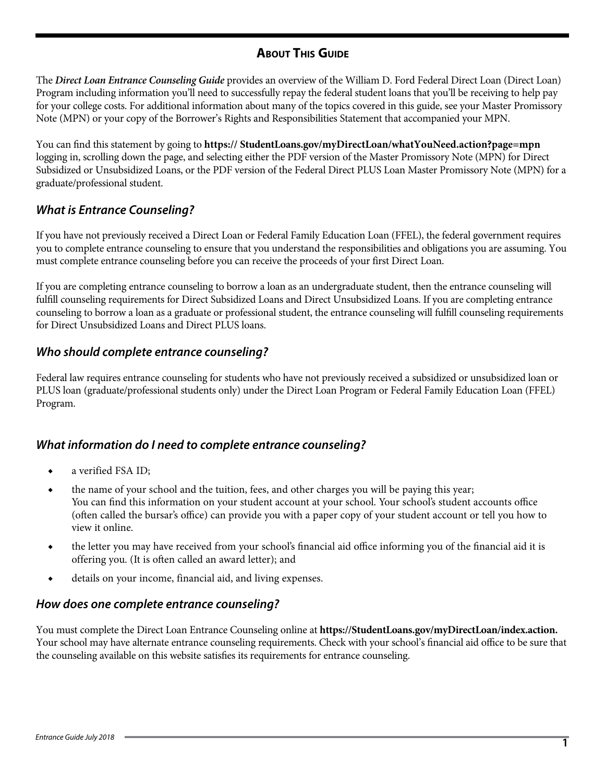# **About This Guide**

The *Direct Loan Entrance Counseling Guide* provides an overview of the William D. Ford Federal Direct Loan (Direct Loan) Program including information you'll need to successfully repay the federal student loans that you'll be receiving to help pay for your college costs. For additional information about many of the topics covered in this guide, see your Master Promissory Note (MPN) or your copy of the Borrower's Rights and Responsibilities Statement that accompanied your MPN.

You can find this statement by going to **https:// StudentLoans.gov/myDirectLoan/whatYouNeed.action?page=mpn**  logging in, scrolling down the page, and selecting either the PDF version of the Master Promissory Note (MPN) for Direct Subsidized or Unsubsidized Loans, or the PDF version of the Federal Direct PLUS Loan Master Promissory Note (MPN) for a graduate/professional student.

# *What is Entrance Counseling?*

If you have not previously received a Direct Loan or Federal Family Education Loan (FFEL), the federal government requires you to complete entrance counseling to ensure that you understand the responsibilities and obligations you are assuming. You must complete entrance counseling before you can receive the proceeds of your first Direct Loan.

If you are completing entrance counseling to borrow a loan as an undergraduate student, then the entrance counseling will fulfill counseling requirements for Direct Subsidized Loans and Direct Unsubsidized Loans. If you are completing entrance counseling to borrow a loan as a graduate or professional student, the entrance counseling will fulfill counseling requirements for Direct Unsubsidized Loans and Direct PLUS loans.

# *Who should complete entrance counseling?*

Federal law requires entrance counseling for students who have not previously received a subsidized or unsubsidized loan or PLUS loan (graduate/professional students only) under the Direct Loan Program or Federal Family Education Loan (FFEL) Program.

# *What information do I need to complete entrance counseling?*

- a verified FSA ID:
- ◆ the name of your school and the tuition, fees, and other charges you will be paying this year; You can find this information on your student account at your school. Your school's student accounts office (often called the bursar's office) can provide you with a paper copy of your student account or tell you how to view it online.
- ◆ the letter you may have received from your school's financial aid office informing you of the financial aid it is offering you. (It is often called an award letter); and
- ◆ details on your income, financial aid, and living expenses.

#### *How does one complete entrance counseling?*

You must complete the Direct Loan Entrance Counseling online at **https://StudentLoans.gov/myDirectLoan/index.action.**  Your school may have alternate entrance counseling requirements. Check with your school's financial aid office to be sure that the counseling available on this website satisfies its requirements for entrance counseling.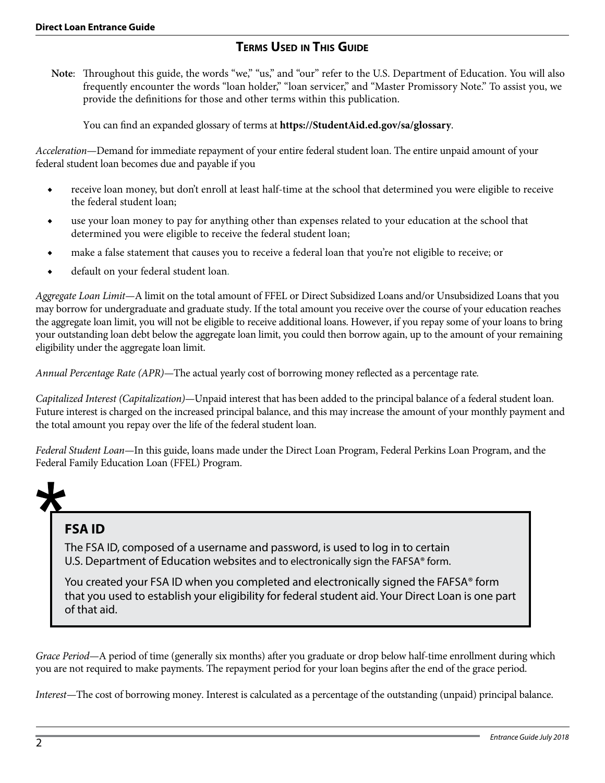# **Terms Used in This Guide**

**Note**: Throughout this guide, the words "we," "us," and "our" refer to the U.S. Department of Education. You will also frequently encounter the words "loan holder," "loan servicer," and "Master Promissory Note." To assist you, we provide the definitions for those and other terms within this publication.

You can find an expanded glossary of terms at **https://StudentAid.ed.gov/sa/glossary**.

*Acceleration*—Demand for immediate repayment of your entire federal student loan. The entire unpaid amount of your federal student loan becomes due and payable if you

- ◆ receive loan money, but don't enroll at least half-time at the school that determined you were eligible to receive the federal student loan;
- use your loan money to pay for anything other than expenses related to your education at the school that determined you were eligible to receive the federal student loan;
- make a false statement that causes you to receive a federal loan that you're not eligible to receive; or
- ◆ default on your federal student loan.

*Aggregate Loan Limit—*A limit on the total amount of FFEL or Direct Subsidized Loans and/or Unsubsidized Loans that you may borrow for undergraduate and graduate study. If the total amount you receive over the course of your education reaches the aggregate loan limit, you will not be eligible to receive additional loans. However, if you repay some of your loans to bring your outstanding loan debt below the aggregate loan limit, you could then borrow again, up to the amount of your remaining eligibility under the aggregate loan limit.

*Annual Percentage Rate (APR)—*The actual yearly cost of borrowing money reflected as a percentage rate*.*

*Capitalized Interest (Capitalization)—*Unpaid interest that has been added to the principal balance of a federal student loan. Future interest is charged on the increased principal balance, and this may increase the amount of your monthly payment and the total amount you repay over the life of the federal student loan.

*Federal Student Loan—*In this guide, loans made under the Direct Loan Program, Federal Perkins Loan Program, and the Federal Family Education Loan (FFEL) Program.

# **FSA ID**

The FSA ID, composed of a username and password, is used to log in to certain U.S. Department of Education websites and to electronically sign the FAFSA® form.

You created your FSA ID when you completed and electronically signed the FAFSA® form that you used to establish your eligibility for federal student aid. Your Direct Loan is one part of that aid.

*Grace Period—*A period of time (generally six months) after you graduate or drop below half-time enrollment during which you are not required to make payments. The repayment period for your loan begins after the end of the grace period.

*Interest—*The cost of borrowing money. Interest is calculated as a percentage of the outstanding (unpaid) principal balance.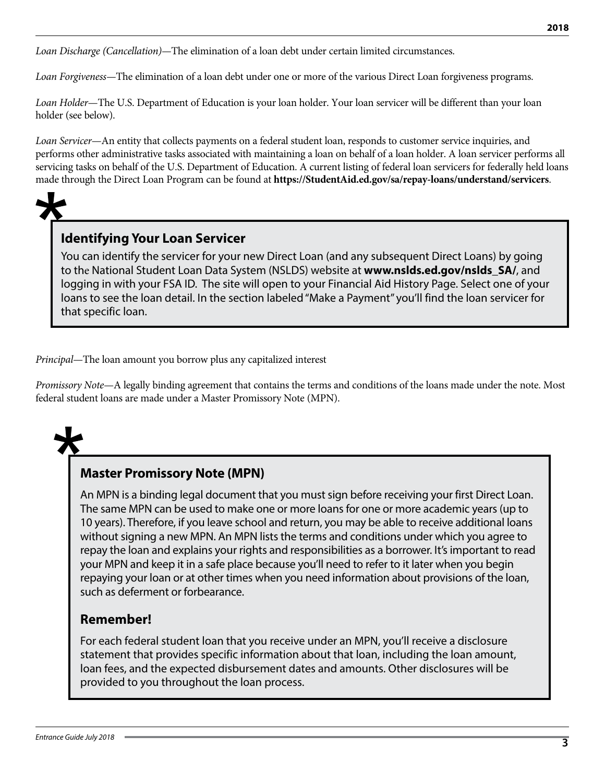*Loan Discharge (Cancellation)—*The elimination of a loan debt under certain limited circumstances.

*Loan Forgiveness—*The elimination of a loan debt under one or more of the various Direct Loan forgiveness programs.

*Loan Holder*—The U.S. Department of Education is your loan holder. Your loan servicer will be different than your loan holder (see below).

*Loan Servicer*—An entity that collects payments on a federal student loan, responds to customer service inquiries, and performs other administrative tasks associated with maintaining a loan on behalf of a loan holder. A loan servicer performs all servicing tasks on behalf of the U.S. Department of Education. A current listing of federal loan servicers for federally held loans made through the Direct Loan Program can be found at **https://StudentAid.ed.gov/sa/repay-loans/understand/servicers**.

# **Identifying Your Loan Servicer**

You can identify the servicer for your new Direct Loan (and any subsequent Direct Loans) by going to the National Student Loan Data System (NSLDS) website at **www.nslds.ed.gov/nslds\_SA/**, and logging in with your FSA ID. The site will open to your Financial Aid History Page. Select one of your loans to see the loan detail. In the section labeled "Make a Payment" you'll find the loan servicer for that specific loan.

*Principal*—The loan amount you borrow plus any capitalized interest

*Promissory Note*—A legally binding agreement that contains the terms and conditions of the loans made under the note. Most federal student loans are made under a Master Promissory Note (MPN).



# **Master Promissory Note (MPN)**

An MPN is a binding legal document that you must sign before receiving your first Direct Loan. The same MPN can be used to make one or more loans for one or more academic years (up to 10 years). Therefore, if you leave school and return, you may be able to receive additional loans without signing a new MPN. An MPN lists the terms and conditions under which you agree to repay the loan and explains your rights and responsibilities as a borrower. It's important to read your MPN and keep it in a safe place because you'll need to refer to it later when you begin repaying your loan or at other times when you need information about provisions of the loan, such as deferment or forbearance.

# **Remember!**

For each federal student loan that you receive under an MPN, you'll receive a disclosure statement that provides specific information about that loan, including the loan amount, loan fees, and the expected disbursement dates and amounts. Other disclosures will be provided to you throughout the loan process.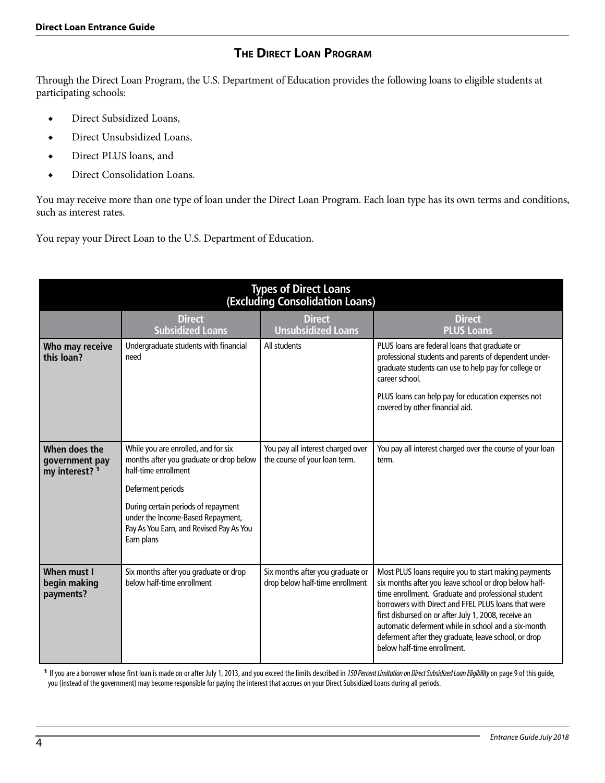# **The Direct Loan Program**

Through the Direct Loan Program, the U.S. Department of Education provides the following loans to eligible students at participating schools:

- ◆ Direct Subsidized Loans,
- ◆ Direct Unsubsidized Loans,
- ◆ Direct PLUS loans, and
- ◆ Direct Consolidation Loans.

You may receive more than one type of loan under the Direct Loan Program. Each loan type has its own terms and conditions, such as interest rates.

You repay your Direct Loan to the U.S. Department of Education.

|                                                   |                                                                                                                                   | <b>Types of Direct Loans</b><br>(Excluding Consolidation Loans)     |                                                                                                                                                                                                                                                                                                                                                                                                                                  |
|---------------------------------------------------|-----------------------------------------------------------------------------------------------------------------------------------|---------------------------------------------------------------------|----------------------------------------------------------------------------------------------------------------------------------------------------------------------------------------------------------------------------------------------------------------------------------------------------------------------------------------------------------------------------------------------------------------------------------|
|                                                   | <b>Direct</b><br><b>Subsidized Loans</b>                                                                                          | <b>Direct</b><br><b>Unsubsidized Loans</b>                          | <b>Direct</b><br><b>PLUS Loans</b>                                                                                                                                                                                                                                                                                                                                                                                               |
| Who may receive<br>this loan?                     | Undergraduate students with financial<br>need                                                                                     | All students                                                        | PLUS loans are federal loans that graduate or<br>professional students and parents of dependent under-<br>graduate students can use to help pay for college or<br>career school.<br>PLUS loans can help pay for education expenses not<br>covered by other financial aid.                                                                                                                                                        |
|                                                   |                                                                                                                                   |                                                                     |                                                                                                                                                                                                                                                                                                                                                                                                                                  |
| When does the<br>government pay<br>my interest? 1 | While you are enrolled, and for six<br>months after you graduate or drop below<br>half-time enrollment                            | You pay all interest charged over<br>the course of your loan term.  | You pay all interest charged over the course of your loan<br>term.                                                                                                                                                                                                                                                                                                                                                               |
|                                                   | Deferment periods                                                                                                                 |                                                                     |                                                                                                                                                                                                                                                                                                                                                                                                                                  |
|                                                   | During certain periods of repayment<br>under the Income-Based Repayment,<br>Pay As You Earn, and Revised Pay As You<br>Earn plans |                                                                     |                                                                                                                                                                                                                                                                                                                                                                                                                                  |
| When must I<br>begin making<br>payments?          | Six months after you graduate or drop<br>below half-time enrollment                                                               | Six months after you graduate or<br>drop below half-time enrollment | Most PLUS loans require you to start making payments<br>six months after you leave school or drop below half-<br>time enrollment. Graduate and professional student<br>borrowers with Direct and FFEL PLUS loans that were<br>first disbursed on or after July 1, 2008, receive an<br>automatic deferment while in school and a six-month<br>deferment after they graduate, leave school, or drop<br>below half-time enrollment. |

<sup>1</sup> If you are a borrower whose first loan is made on or after July 1, 2013, and you exceed the limits described in *150 Percent Limitation on Direct Subsidized Loan Eligibility*on page 9 of this guide, you (instead of the government) may become responsible for paying the interest that accrues on your Direct Subsidized Loans during all periods.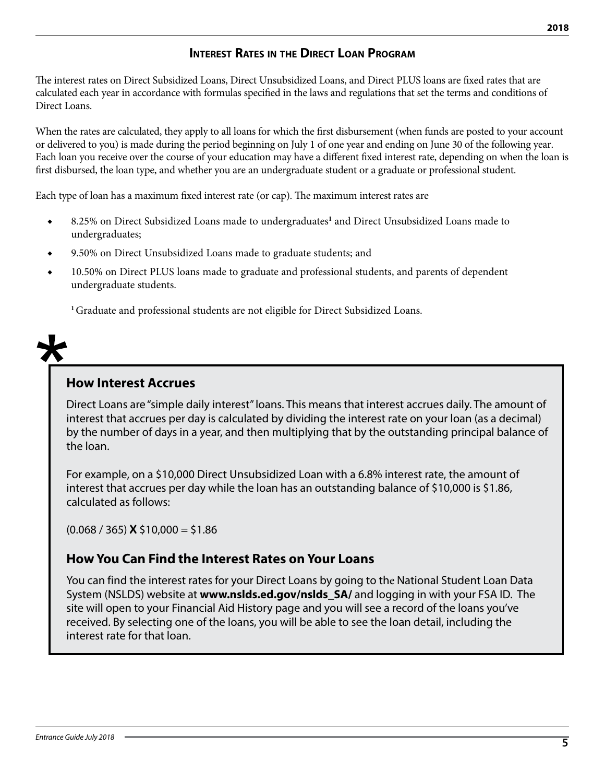# **Interest Rates in the Direct Loan Program**

The interest rates on Direct Subsidized Loans, Direct Unsubsidized Loans, and Direct PLUS loans are fixed rates that are calculated each year in accordance with formulas specified in the laws and regulations that set the terms and conditions of Direct Loans.

When the rates are calculated, they apply to all loans for which the first disbursement (when funds are posted to your account or delivered to you) is made during the period beginning on July 1 of one year and ending on June 30 of the following year. Each loan you receive over the course of your education may have a different fixed interest rate, depending on when the loan is first disbursed, the loan type, and whether you are an undergraduate student or a graduate or professional student.

Each type of loan has a maximum fixed interest rate (or cap). The maximum interest rates are

- ◆ 8.25% on Direct Subsidized Loans made to undergraduates<sup>1</sup> and Direct Unsubsidized Loans made to undergraduates;
- 9.50% on Direct Unsubsidized Loans made to graduate students; and
- 10.50% on Direct PLUS loans made to graduate and professional students, and parents of dependent undergraduate students.

**<sup>1</sup>**Graduate and professional students are not eligible for Direct Subsidized Loans.



# **How Interest Accrues**

Direct Loans are "simple daily interest" loans. This means that interest accrues daily. The amount of interest that accrues per day is calculated by dividing the interest rate on your loan (as a decimal) by the number of days in a year, and then multiplying that by the outstanding principal balance of the loan.

For example, on a \$10,000 Direct Unsubsidized Loan with a 6.8% interest rate, the amount of interest that accrues per day while the loan has an outstanding balance of \$10,000 is \$1.86, calculated as follows:

(0.068 / 365) **X** \$10,000 = \$1.86

# **How You Can Find the Interest Rates on Your Loans**

You can find the interest rates for your Direct Loans by going to the National Student Loan Data System (NSLDS) website at **www.nslds.ed.gov/nslds\_SA/** and logging in with your FSA ID. The site will open to your Financial Aid History page and you will see a record of the loans you've received. By selecting one of the loans, you will be able to see the loan detail, including the interest rate for that loan.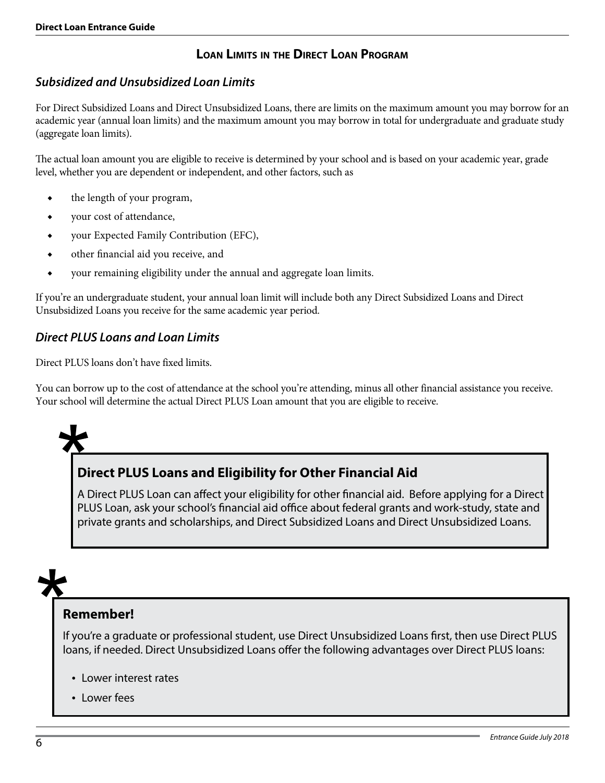# **Loan Limits in the Direct Loan Program**

### *Subsidized and Unsubsidized Loan Limits*

For Direct Subsidized Loans and Direct Unsubsidized Loans, there are limits on the maximum amount you may borrow for an academic year (annual loan limits) and the maximum amount you may borrow in total for undergraduate and graduate study (aggregate loan limits).

The actual loan amount you are eligible to receive is determined by your school and is based on your academic year, grade level, whether you are dependent or independent, and other factors, such as

- ◆ the length of your program,
- ◆ your cost of attendance,
- ◆ your Expected Family Contribution (EFC),
- ◆ other financial aid you receive, and
- your remaining eligibility under the annual and aggregate loan limits.

If you're an undergraduate student, your annual loan limit will include both any Direct Subsidized Loans and Direct Unsubsidized Loans you receive for the same academic year period.

#### *Direct PLUS Loans and Loan Limits*

Direct PLUS loans don't have fixed limits.

You can borrow up to the cost of attendance at the school you're attending, minus all other financial assistance you receive. Your school will determine the actual Direct PLUS Loan amount that you are eligible to receive.



# **Direct PLUS Loans and Eligibility for Other Financial Aid**

A Direct PLUS Loan can affect your eligibility for other financial aid. Before applying for a Direct PLUS Loan, ask your school's financial aid office about federal grants and work-study, state and private grants and scholarships, and Direct Subsidized Loans and Direct Unsubsidized Loans.

# **Remember!**

If you're a graduate or professional student, use Direct Unsubsidized Loans first, then use Direct PLUS loans, if needed. Direct Unsubsidized Loans offer the following advantages over Direct PLUS loans:

- Lower interest rates
- Lower fees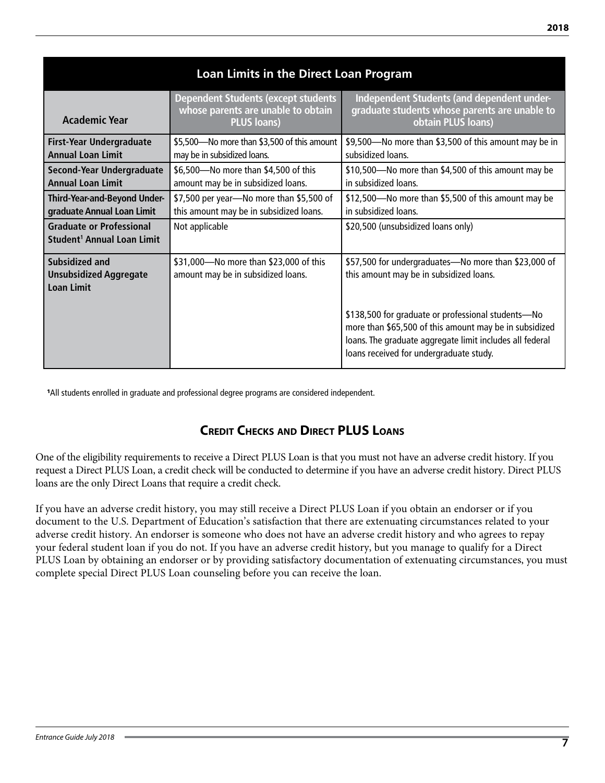| Loan Limits in the Direct Loan Program                                    |                                                                                                        |                                                                                                                                                               |  |  |  |  |
|---------------------------------------------------------------------------|--------------------------------------------------------------------------------------------------------|---------------------------------------------------------------------------------------------------------------------------------------------------------------|--|--|--|--|
| <b>Academic Year</b>                                                      | <b>Dependent Students (except students</b><br>whose parents are unable to obtain<br><b>PLUS loans)</b> | Independent Students (and dependent under-<br>graduate students whose parents are unable to<br>obtain PLUS loans)                                             |  |  |  |  |
| <b>First-Year Undergraduate</b><br><b>Annual Loan Limit</b>               | \$5,500 Wo more than \$3,500 of this amount<br>may be in subsidized loans.                             | \$9,500—No more than \$3,500 of this amount may be in<br>subsidized loans.                                                                                    |  |  |  |  |
| Second-Year Undergraduate<br><b>Annual Loan Limit</b>                     | \$6,500-No more than \$4,500 of this<br>amount may be in subsidized loans.                             | \$10,500-No more than \$4,500 of this amount may be<br>in subsidized loans.                                                                                   |  |  |  |  |
| Third-Year-and-Beyond Under-<br>graduate Annual Loan Limit                | \$7,500 per year-No more than \$5,500 of<br>this amount may be in subsidized loans.                    | \$12,500-No more than \$5,500 of this amount may be<br>in subsidized loans.                                                                                   |  |  |  |  |
| <b>Graduate or Professional</b><br>Student <sup>1</sup> Annual Loan Limit | Not applicable                                                                                         | \$20,500 (unsubsidized loans only)                                                                                                                            |  |  |  |  |
| Subsidized and<br><b>Unsubsidized Aggregate</b><br><b>Loan Limit</b>      | \$31,000-No more than \$23,000 of this<br>amount may be in subsidized loans.                           | \$57,500 for undergraduates-No more than \$23,000 of<br>this amount may be in subsidized loans.<br>\$138,500 for graduate or professional students-No         |  |  |  |  |
|                                                                           |                                                                                                        | more than \$65,500 of this amount may be in subsidized<br>loans. The graduate aggregate limit includes all federal<br>loans received for undergraduate study. |  |  |  |  |

1All students enrolled in graduate and professional degree programs are considered independent.

# **Credit Checks and Direct PLUS Loans**

One of the eligibility requirements to receive a Direct PLUS Loan is that you must not have an adverse credit history. If you request a Direct PLUS Loan, a credit check will be conducted to determine if you have an adverse credit history. Direct PLUS loans are the only Direct Loans that require a credit check.

If you have an adverse credit history, you may still receive a Direct PLUS Loan if you obtain an endorser or if you document to the U.S. Department of Education's satisfaction that there are extenuating circumstances related to your adverse credit history. An endorser is someone who does not have an adverse credit history and who agrees to repay your federal student loan if you do not. If you have an adverse credit history, but you manage to qualify for a Direct PLUS Loan by obtaining an endorser or by providing satisfactory documentation of extenuating circumstances, you must complete special Direct PLUS Loan counseling before you can receive the loan.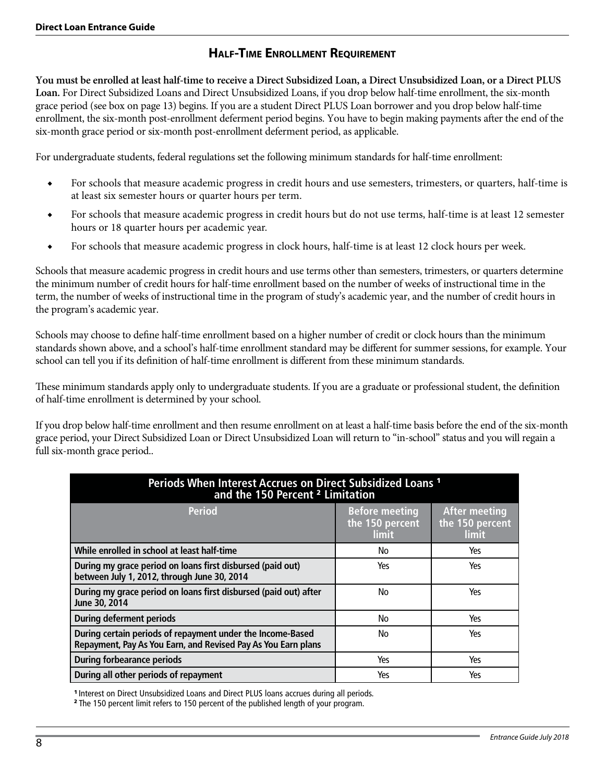# **Half-Time Enrollment Requirement**

**You must be enrolled at least half-time to receive a Direct Subsidized Loan, a Direct Unsubsidized Loan, or a Direct PLUS Loan.** For Direct Subsidized Loans and Direct Unsubsidized Loans, if you drop below half-time enrollment, the six-month grace period (see box on page 13) begins. If you are a student Direct PLUS Loan borrower and you drop below half-time enrollment, the six-month post-enrollment deferment period begins. You have to begin making payments after the end of the six-month grace period or six-month post-enrollment deferment period, as applicable.

For undergraduate students, federal regulations set the following minimum standards for half-time enrollment:

- ◆ For schools that measure academic progress in credit hours and use semesters, trimesters, or quarters, half-time is at least six semester hours or quarter hours per term.
- ◆ For schools that measure academic progress in credit hours but do not use terms, half-time is at least 12 semester hours or 18 quarter hours per academic year.
- ◆ For schools that measure academic progress in clock hours, half-time is at least 12 clock hours per week.

Schools that measure academic progress in credit hours and use terms other than semesters, trimesters, or quarters determine the minimum number of credit hours for half-time enrollment based on the number of weeks of instructional time in the term, the number of weeks of instructional time in the program of study's academic year, and the number of credit hours in the program's academic year.

Schools may choose to define half-time enrollment based on a higher number of credit or clock hours than the minimum standards shown above, and a school's half-time enrollment standard may be different for summer sessions, for example. Your school can tell you if its definition of half-time enrollment is different from these minimum standards.

These minimum standards apply only to undergraduate students. If you are a graduate or professional student, the definition of half-time enrollment is determined by your school.

If you drop below half-time enrollment and then resume enrollment on at least a half-time basis before the end of the six-month grace period, your Direct Subsidized Loan or Direct Unsubsidized Loan will return to "in-school" status and you will regain a full six-month grace period..

| Periods When Interest Accrues on Direct Subsidized Loans <sup>1</sup><br>and the 150 Percent <sup>2</sup> Limitation        |                                                          |                                                         |  |  |  |
|-----------------------------------------------------------------------------------------------------------------------------|----------------------------------------------------------|---------------------------------------------------------|--|--|--|
| <b>Period</b>                                                                                                               | <b>Before meeting</b><br>the 150 percent<br><b>limit</b> | <b>After meeting</b><br>the 150 percent<br><b>limit</b> |  |  |  |
| While enrolled in school at least half-time                                                                                 | No                                                       | Yes                                                     |  |  |  |
| During my grace period on loans first disbursed (paid out)<br>between July 1, 2012, through June 30, 2014                   | Yes                                                      | Yes                                                     |  |  |  |
| During my grace period on loans first disbursed (paid out) after<br>June 30, 2014                                           | No                                                       | Yes                                                     |  |  |  |
| <b>During deferment periods</b>                                                                                             | No                                                       | Yes                                                     |  |  |  |
| During certain periods of repayment under the Income-Based<br>Repayment, Pay As You Earn, and Revised Pay As You Earn plans | No                                                       | Yes                                                     |  |  |  |
| <b>During forbearance periods</b>                                                                                           | Yes                                                      | Yes                                                     |  |  |  |
| During all other periods of repayment                                                                                       | Yes                                                      | Yes                                                     |  |  |  |

<sup>1</sup> Interest on Direct Unsubsidized Loans and Direct PLUS loans accrues during all periods.

2 The 150 percent limit refers to 150 percent of the published length of your program.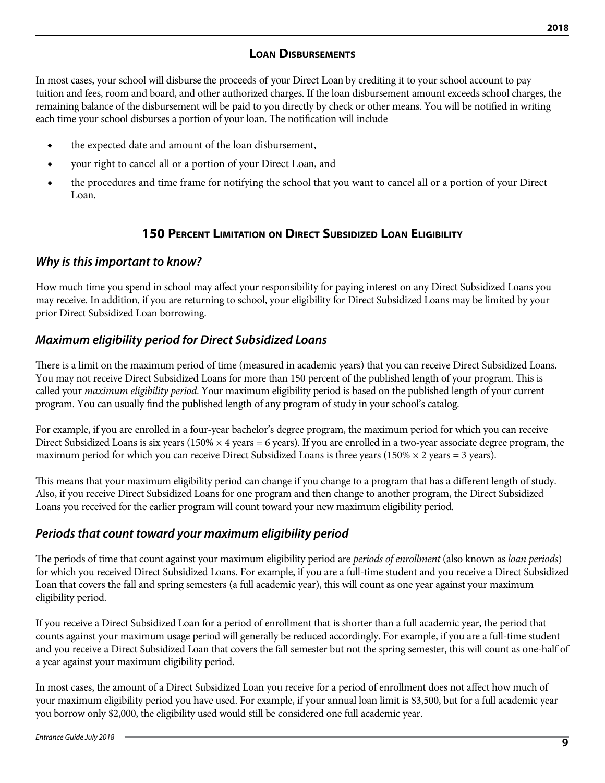### **Loan Disbursements**

In most cases, your school will disburse the proceeds of your Direct Loan by crediting it to your school account to pay tuition and fees, room and board, and other authorized charges. If the loan disbursement amount exceeds school charges, the remaining balance of the disbursement will be paid to you directly by check or other means. You will be notified in writing each time your school disburses a portion of your loan. The notification will include

- ◆ the expected date and amount of the loan disbursement,
- ◆ your right to cancel all or a portion of your Direct Loan, and
- ◆ the procedures and time frame for notifying the school that you want to cancel all or a portion of your Direct Loan.

#### **150 Percent Limitation on Direct Subsidized Loan Eligibility**

#### *Why is this important to know?*

How much time you spend in school may affect your responsibility for paying interest on any Direct Subsidized Loans you may receive. In addition, if you are returning to school, your eligibility for Direct Subsidized Loans may be limited by your prior Direct Subsidized Loan borrowing.

### *Maximum eligibility period for Direct Subsidized Loans*

There is a limit on the maximum period of time (measured in academic years) that you can receive Direct Subsidized Loans. You may not receive Direct Subsidized Loans for more than 150 percent of the published length of your program. This is called your *maximum eligibility period*. Your maximum eligibility period is based on the published length of your current program. You can usually find the published length of any program of study in your school's catalog.

For example, if you are enrolled in a four-year bachelor's degree program, the maximum period for which you can receive Direct Subsidized Loans is six years (150%  $\times$  4 years = 6 years). If you are enrolled in a two-year associate degree program, the maximum period for which you can receive Direct Subsidized Loans is three years (150%  $\times$  2 years = 3 years).

This means that your maximum eligibility period can change if you change to a program that has a different length of study. Also, if you receive Direct Subsidized Loans for one program and then change to another program, the Direct Subsidized Loans you received for the earlier program will count toward your new maximum eligibility period.

#### *Periods that count toward your maximum eligibility period*

The periods of time that count against your maximum eligibility period are *periods of enrollment* (also known as *loan periods*) for which you received Direct Subsidized Loans. For example, if you are a full-time student and you receive a Direct Subsidized Loan that covers the fall and spring semesters (a full academic year), this will count as one year against your maximum eligibility period.

If you receive a Direct Subsidized Loan for a period of enrollment that is shorter than a full academic year, the period that counts against your maximum usage period will generally be reduced accordingly. For example, if you are a full-time student and you receive a Direct Subsidized Loan that covers the fall semester but not the spring semester, this will count as one-half of a year against your maximum eligibility period.

In most cases, the amount of a Direct Subsidized Loan you receive for a period of enrollment does not affect how much of your maximum eligibility period you have used. For example, if your annual loan limit is \$3,500, but for a full academic year you borrow only \$2,000, the eligibility used would still be considered one full academic year.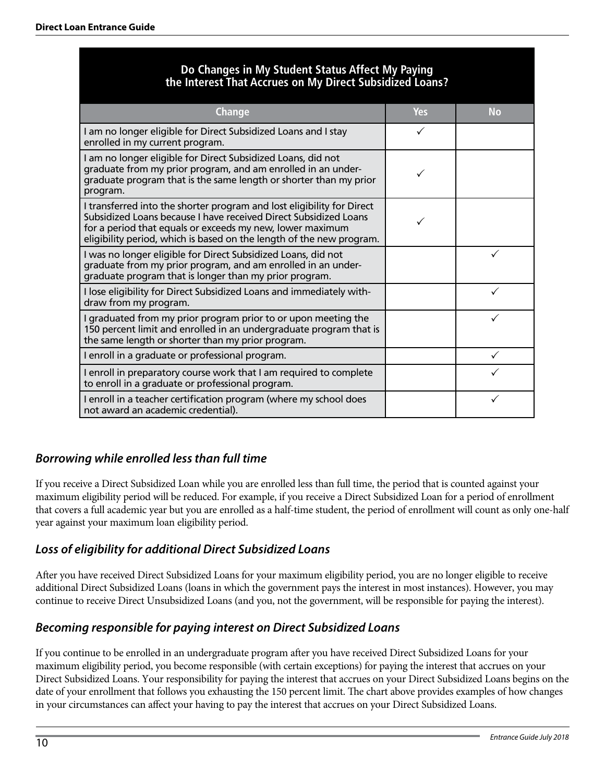# **Do Changes in My Student Status Affect My Paying the Interest That Accrues on My Direct Subsidized Loans?**

| <b>Change</b>                                                                                                                                                                                                                                                                   | Yes | No |
|---------------------------------------------------------------------------------------------------------------------------------------------------------------------------------------------------------------------------------------------------------------------------------|-----|----|
| I am no longer eligible for Direct Subsidized Loans and I stay<br>enrolled in my current program.                                                                                                                                                                               | ✓   |    |
| I am no longer eligible for Direct Subsidized Loans, did not<br>graduate from my prior program, and am enrolled in an under-<br>graduate program that is the same length or shorter than my prior<br>program.                                                                   |     |    |
| I transferred into the shorter program and lost eligibility for Direct<br>Subsidized Loans because I have received Direct Subsidized Loans<br>for a period that equals or exceeds my new, lower maximum<br>eligibility period, which is based on the length of the new program. |     |    |
| I was no longer eligible for Direct Subsidized Loans, did not<br>graduate from my prior program, and am enrolled in an under-<br>graduate program that is longer than my prior program.                                                                                         |     |    |
| I lose eligibility for Direct Subsidized Loans and immediately with-<br>draw from my program.                                                                                                                                                                                   |     |    |
| I graduated from my prior program prior to or upon meeting the<br>150 percent limit and enrolled in an undergraduate program that is<br>the same length or shorter than my prior program.                                                                                       |     |    |
| I enroll in a graduate or professional program.                                                                                                                                                                                                                                 |     |    |
| I enroll in preparatory course work that I am required to complete<br>to enroll in a graduate or professional program.                                                                                                                                                          |     |    |
| I enroll in a teacher certification program (where my school does<br>not award an academic credential).                                                                                                                                                                         |     |    |

# *Borrowing while enrolled less than full time*

If you receive a Direct Subsidized Loan while you are enrolled less than full time, the period that is counted against your maximum eligibility period will be reduced. For example, if you receive a Direct Subsidized Loan for a period of enrollment that covers a full academic year but you are enrolled as a half-time student, the period of enrollment will count as only one-half year against your maximum loan eligibility period.

# *Loss of eligibility for additional Direct Subsidized Loans*

After you have received Direct Subsidized Loans for your maximum eligibility period, you are no longer eligible to receive additional Direct Subsidized Loans (loans in which the government pays the interest in most instances). However, you may continue to receive Direct Unsubsidized Loans (and you, not the government, will be responsible for paying the interest).

# *Becoming responsible for paying interest on Direct Subsidized Loans*

If you continue to be enrolled in an undergraduate program after you have received Direct Subsidized Loans for your maximum eligibility period, you become responsible (with certain exceptions) for paying the interest that accrues on your Direct Subsidized Loans. Your responsibility for paying the interest that accrues on your Direct Subsidized Loans begins on the date of your enrollment that follows you exhausting the 150 percent limit. The chart above provides examples of how changes in your circumstances can affect your having to pay the interest that accrues on your Direct Subsidized Loans.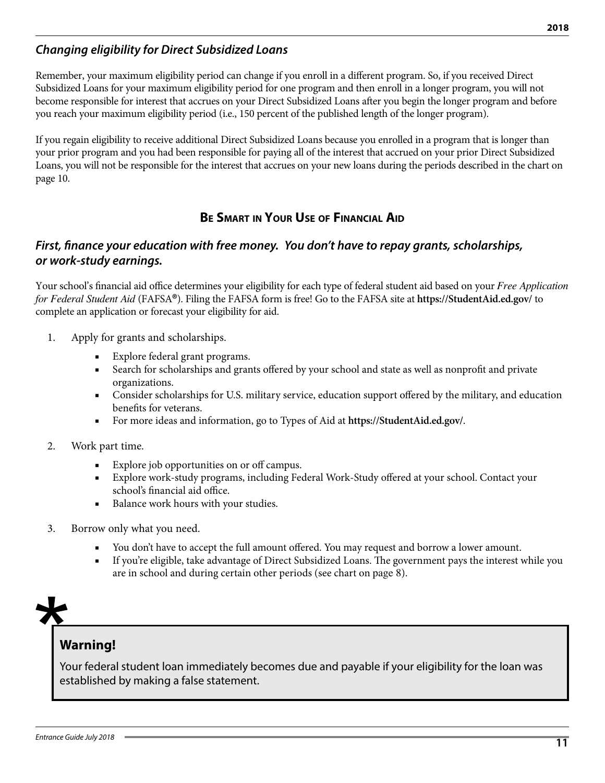# *Changing eligibility for Direct Subsidized Loans*

Remember, your maximum eligibility period can change if you enroll in a different program. So, if you received Direct Subsidized Loans for your maximum eligibility period for one program and then enroll in a longer program, you will not become responsible for interest that accrues on your Direct Subsidized Loans after you begin the longer program and before you reach your maximum eligibility period (i.e., 150 percent of the published length of the longer program).

If you regain eligibility to receive additional Direct Subsidized Loans because you enrolled in a program that is longer than your prior program and you had been responsible for paying all of the interest that accrued on your prior Direct Subsidized Loans, you will not be responsible for the interest that accrues on your new loans during the periods described in the chart on page 10.

# **Be Smart in Your Use of Financial Aid**

### *First, finance your education with free money. You don't have to repay grants, scholarships, or work-study earnings.*

Your school's financial aid office determines your eligibility for each type of federal student aid based on your *Free Application for Federal Student Aid* (FAFSA**®**). Filing the FAFSA form is free! Go to the FAFSA site at **https://StudentAid.ed.gov/** to complete an application or forecast your eligibility for aid.

- 1. Apply for grants and scholarships.
	- Explore federal grant programs.
	- Search for scholarships and grants offered by your school and state as well as nonprofit and private organizations.
	- Consider scholarships for U.S. military service, education support offered by the military, and education benefits for veterans.
	- For more ideas and information, go to Types of Aid at **https://StudentAid.ed.gov/**.
- 2. Work part time.
	- Explore job opportunities on or off campus.
	- Explore work-study programs, including Federal Work-Study offered at your school. Contact your school's financial aid office.
	- Balance work hours with your studies.
- 3. Borrow only what you need.
	- You don't have to accept the full amount offered. You may request and borrow a lower amount.
	- If you're eligible, take advantage of Direct Subsidized Loans. The government pays the interest while you are in school and during certain other periods (see chart on page 8).



# **Warning!**

Your federal student loan immediately becomes due and payable if your eligibility for the loan was established by making a false statement.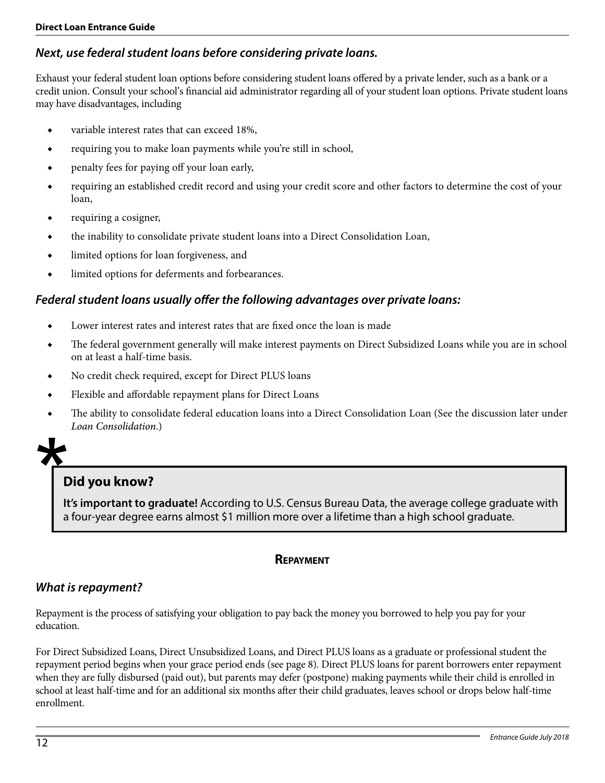# *Next, use federal student loans before considering private loans.*

Exhaust your federal student loan options before considering student loans offered by a private lender, such as a bank or a credit union. Consult your school's financial aid administrator regarding all of your student loan options. Private student loans may have disadvantages, including

- ◆ variable interest rates that can exceed 18%,
- ◆ requiring you to make loan payments while you're still in school,
- ◆ penalty fees for paying off your loan early,
- ◆ requiring an established credit record and using your credit score and other factors to determine the cost of your loan,
- requiring a cosigner,
- ◆ the inability to consolidate private student loans into a Direct Consolidation Loan,
- ◆ limited options for loan forgiveness, and
- limited options for deferments and forbearances.

### *Federal student loans usually offer the following advantages over private loans:*

- Lower interest rates and interest rates that are fixed once the loan is made
- ◆ The federal government generally will make interest payments on Direct Subsidized Loans while you are in school on at least a half-time basis.
- No credit check required, except for Direct PLUS loans
- ◆ Flexible and affordable repayment plans for Direct Loans
- The ability to consolidate federal education loans into a Direct Consolidation Loan (See the discussion later under *Loan Consolidation*.)



# **Did you know?**

**It's important to graduate!** According to U.S. Census Bureau Data, the average college graduate with a four-year degree earns almost \$1 million more over a lifetime than a high school graduate.

#### **Repayment**

#### *What is repayment?*

Repayment is the process of satisfying your obligation to pay back the money you borrowed to help you pay for your education.

For Direct Subsidized Loans, Direct Unsubsidized Loans, and Direct PLUS loans as a graduate or professional student the repayment period begins when your grace period ends (see page 8). Direct PLUS loans for parent borrowers enter repayment when they are fully disbursed (paid out), but parents may defer (postpone) making payments while their child is enrolled in school at least half-time and for an additional six months after their child graduates, leaves school or drops below half-time enrollment.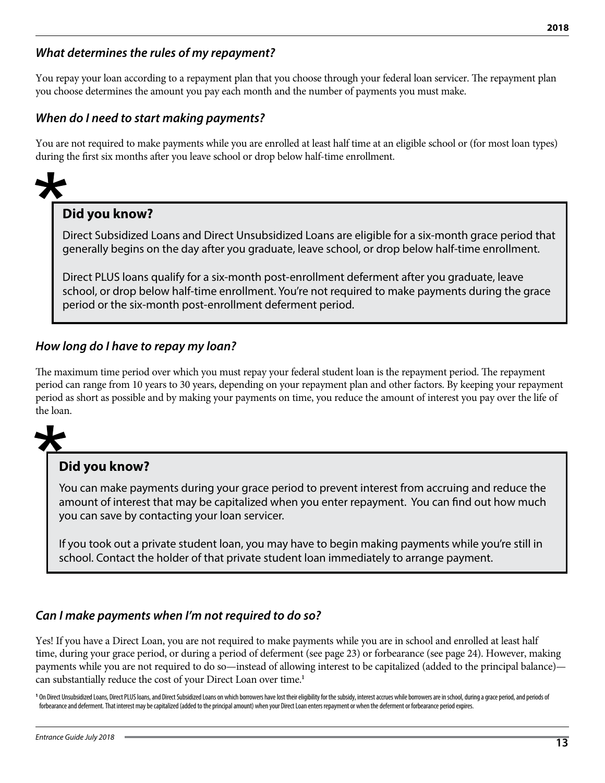# *What determines the rules of my repayment?*

You repay your loan according to a repayment plan that you choose through your federal loan servicer. The repayment plan you choose determines the amount you pay each month and the number of payments you must make.

# *When do I need to start making payments?*

You are not required to make payments while you are enrolled at least half time at an eligible school or (for most loan types) during the first six months after you leave school or drop below half-time enrollment.

# **Did you know?**

Direct Subsidized Loans and Direct Unsubsidized Loans are eligible for a six-month grace period that generally begins on the day after you graduate, leave school, or drop below half-time enrollment.

Direct PLUS loans qualify for a six-month post-enrollment deferment after you graduate, leave school, or drop below half-time enrollment. You're not required to make payments during the grace period or the six-month post-enrollment deferment period.

# *How long do I have to repay my loan?*

The maximum time period over which you must repay your federal student loan is the repayment period. The repayment period can range from 10 years to 30 years, depending on your repayment plan and other factors. By keeping your repayment period as short as possible and by making your payments on time, you reduce the amount of interest you pay over the life of the loan.



# **Did you know?**

You can make payments during your grace period to prevent interest from accruing and reduce the amount of interest that may be capitalized when you enter repayment. You can find out how much you can save by contacting your loan servicer.

If you took out a private student loan, you may have to begin making payments while you're still in school. Contact the holder of that private student loan immediately to arrange payment.

# *Can I make payments when I'm not required to do so?*

Yes! If you have a Direct Loan, you are not required to make payments while you are in school and enrolled at least half time, during your grace period, or during a period of deferment (see page 23) or forbearance (see page 24). However, making payments while you are not required to do so—instead of allowing interest to be capitalized (added to the principal balance) can substantially reduce the cost of your Direct Loan over time.**<sup>1</sup>**

<sup>1</sup> On Direct Unsubsidized Loans, Direct PLUS loans, and Direct Subsidized Loans on which borrowers have lost their eligibility for the subsidy, interest accrues while borrowers are in school, during a grace period, and pe forbearance and deferment. That interest may be capitalized (added to the principal amount) when your Direct Loan enters repayment or when the deferment or forbearance period expires.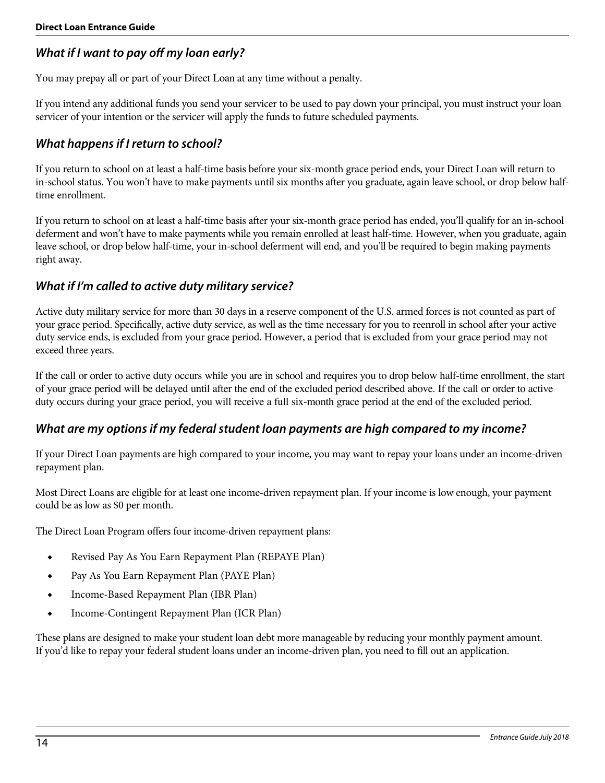# *What if I want to pay off my loan early?*

You may prepay all or part of your Direct Loan at any time without a penalty.

If you intend any additional funds you send your servicer to be used to pay down your principal, you must instruct your loan servicer of your intention or the servicer will apply the funds to future scheduled payments.

# *What happens if I return to school?*

If you return to school on at least a half-time basis before your six-month grace period ends, your Direct Loan will return to in-school status. You won't have to make payments until six months after you graduate, again leave school, or drop below halftime enrollment.

If you return to school on at least a half-time basis after your six-month grace period has ended, you'll qualify for an in-school deferment and won't have to make payments while you remain enrolled at least half-time. However, when you graduate, again leave school, or drop below half-time, your in-school deferment will end, and you'll be required to begin making payments right away.

### *What if I'm called to active duty military service?*

Active duty military service for more than 30 days in a reserve component of the U.S. armed forces is not counted as part of your grace period. Specifically, active duty service, as well as the time necessary for you to reenroll in school after your active duty service ends, is excluded from your grace period. However, a period that is excluded from your grace period may not exceed three years.

If the call or order to active duty occurs while you are in school and requires you to drop below half-time enrollment, the start of your grace period will be delayed until after the end of the excluded period described above. If the call or order to active duty occurs during your grace period, you will receive a full six-month grace period at the end of the excluded period.

# *What are my options if my federal student loan payments are high compared to my income?*

If your Direct Loan payments are high compared to your income, you may want to repay your loans under an income-driven repayment plan.

Most Direct Loans are eligible for at least one income-driven repayment plan. If your income is low enough, your payment could be as low as \$0 per month.

The Direct Loan Program offers four income-driven repayment plans:

- ◆ Revised Pay As You Earn Repayment Plan (REPAYE Plan)
- ◆ Pay As You Earn Repayment Plan (PAYE Plan)
- ◆ Income-Based Repayment Plan (IBR Plan)
- ◆ Income-Contingent Repayment Plan (ICR Plan)

These plans are designed to make your student loan debt more manageable by reducing your monthly payment amount. If you'd like to repay your federal student loans under an income-driven plan, you need to fill out an application.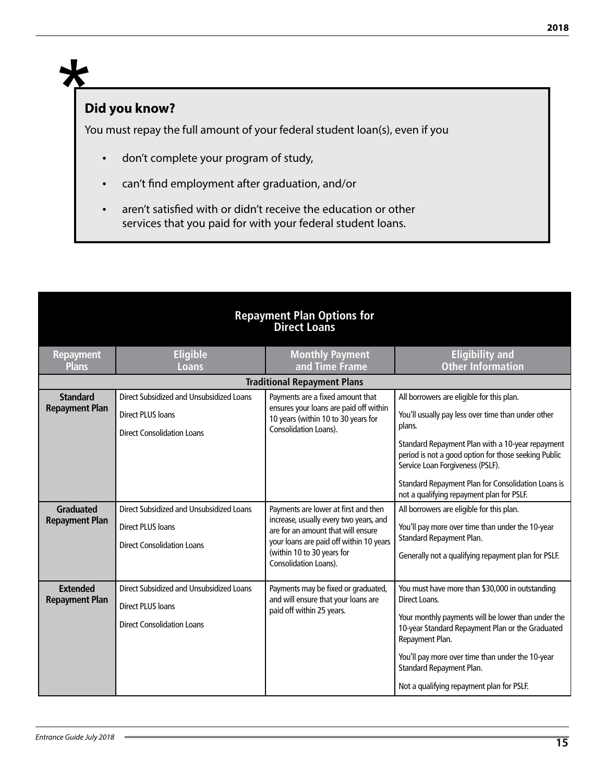# **Did you know?**

 $\bigstar$ 

You must repay the full amount of your federal student loan(s), even if you

- don't complete your program of study,
- can't find employment after graduation, and/or
- aren't satisfied with or didn't receive the education or other services that you paid for with your federal student loans.

|                                           | <b>Repayment Plan Options for</b><br><b>Direct Loans</b>                                                  |                                                                                                                                                                                                                        |                                                                                                                                                                                                                                                                                                                            |  |  |  |  |
|-------------------------------------------|-----------------------------------------------------------------------------------------------------------|------------------------------------------------------------------------------------------------------------------------------------------------------------------------------------------------------------------------|----------------------------------------------------------------------------------------------------------------------------------------------------------------------------------------------------------------------------------------------------------------------------------------------------------------------------|--|--|--|--|
| <b>Repayment</b><br><b>Plans</b>          | <b>Eligible</b><br>Loans                                                                                  | <b>Monthly Payment</b><br>and Time Frame                                                                                                                                                                               | <b>Eligibility and</b><br><b>Other Information</b>                                                                                                                                                                                                                                                                         |  |  |  |  |
|                                           |                                                                                                           | <b>Traditional Repayment Plans</b>                                                                                                                                                                                     |                                                                                                                                                                                                                                                                                                                            |  |  |  |  |
| <b>Standard</b>                           | Direct Subsidized and Unsubsidized Loans                                                                  | Payments are a fixed amount that                                                                                                                                                                                       | All borrowers are eligible for this plan.                                                                                                                                                                                                                                                                                  |  |  |  |  |
| <b>Repayment Plan</b>                     | <b>Direct PLUS loans</b>                                                                                  | ensures your loans are paid off within<br>10 years (within 10 to 30 years for<br>Consolidation Loans).                                                                                                                 | You'll usually pay less over time than under other<br>plans.                                                                                                                                                                                                                                                               |  |  |  |  |
|                                           | <b>Direct Consolidation Loans</b>                                                                         |                                                                                                                                                                                                                        | Standard Repayment Plan with a 10-year repayment<br>period is not a good option for those seeking Public<br>Service Loan Forgiveness (PSLF).<br>Standard Repayment Plan for Consolidation Loans is                                                                                                                         |  |  |  |  |
|                                           |                                                                                                           |                                                                                                                                                                                                                        | not a qualifying repayment plan for PSLF.                                                                                                                                                                                                                                                                                  |  |  |  |  |
| <b>Graduated</b><br><b>Repayment Plan</b> | Direct Subsidized and Unsubsidized Loans<br><b>Direct PLUS loans</b><br><b>Direct Consolidation Loans</b> | Payments are lower at first and then<br>increase, usually every two years, and<br>are for an amount that will ensure<br>your loans are paid off within 10 years<br>(within 10 to 30 years for<br>Consolidation Loans). | All borrowers are eligible for this plan.<br>You'll pay more over time than under the 10-year<br>Standard Repayment Plan.<br>Generally not a qualifying repayment plan for PSLF.                                                                                                                                           |  |  |  |  |
| <b>Extended</b><br><b>Repayment Plan</b>  | Direct Subsidized and Unsubsidized Loans<br><b>Direct PLUS loans</b><br><b>Direct Consolidation Loans</b> | Payments may be fixed or graduated,<br>and will ensure that your loans are<br>paid off within 25 years.                                                                                                                | You must have more than \$30,000 in outstanding<br>Direct Loans.<br>Your monthly payments will be lower than under the<br>10-year Standard Repayment Plan or the Graduated<br>Repayment Plan.<br>You'll pay more over time than under the 10-year<br>Standard Repayment Plan.<br>Not a qualifying repayment plan for PSLF. |  |  |  |  |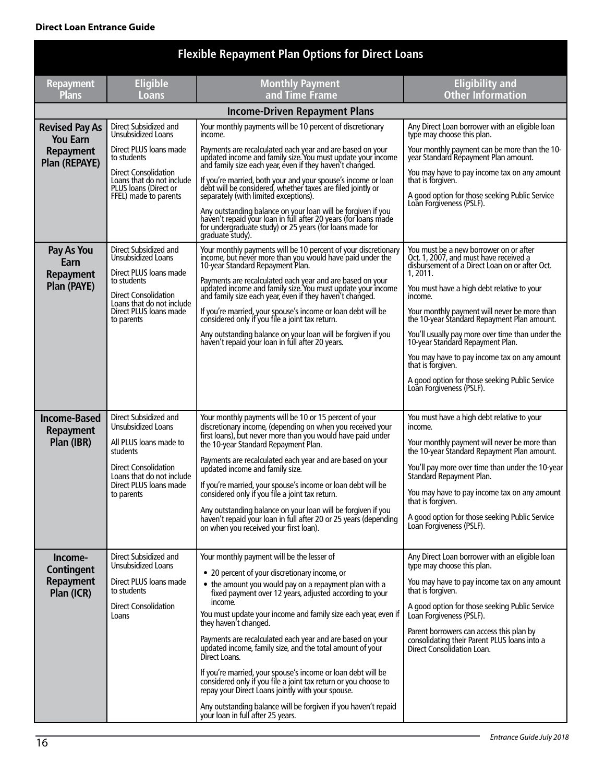#### **Direct Loan Entrance Guide**

|                                          |                                                                              | <b>Flexible Repayment Plan Options for Direct Loans</b>                                                                                                                                                         |                                                                                                                                               |  |  |  |  |  |  |
|------------------------------------------|------------------------------------------------------------------------------|-----------------------------------------------------------------------------------------------------------------------------------------------------------------------------------------------------------------|-----------------------------------------------------------------------------------------------------------------------------------------------|--|--|--|--|--|--|
| <b>Repayment</b><br><b>Plans</b>         | <b>Eligible</b><br>Loans                                                     | <b>Monthly Payment</b><br>and Time Frame                                                                                                                                                                        | <b>Eligibility and</b><br><b>Other Information</b>                                                                                            |  |  |  |  |  |  |
|                                          | <b>Income-Driven Repayment Plans</b>                                         |                                                                                                                                                                                                                 |                                                                                                                                               |  |  |  |  |  |  |
| <b>Revised Pay As</b><br><b>You Earn</b> | Direct Subsidized and<br>Unsubsidized Loans                                  | Your monthly payments will be 10 percent of discretionary<br>income.                                                                                                                                            | Any Direct Loan borrower with an eligible loan<br>type may choose this plan.                                                                  |  |  |  |  |  |  |
| Repayment<br>Plan (REPAYE)               | Direct PLUS loans made<br>to students<br><b>Direct Consolidation</b>         | Payments are recalculated each year and are based on your<br>updated income and family size. You must update your income<br>and family size each year, even if they haven't changed.                            | Your monthly payment can be more than the 10-<br>year Standard Repayment Plan amount.<br>You may have to pay income tax on any amount         |  |  |  |  |  |  |
|                                          | Loans that do not include<br>PLUS loans (Direct or<br>FFEL) made to parents  | If you're married, both your and your spouse's income or loan<br>debt will be considered, whether taxes are filed jointly or<br>separately (with limited exceptions).                                           | that is forgiven.<br>A good option for those seeking Public Service<br>Loan Forgiveness (PSLF).                                               |  |  |  |  |  |  |
|                                          |                                                                              | Any outstanding balance on your loan will be forgiven if you<br>haven't repaid your loan in full after 20 years (for loans made<br>for undergraduate study) or 25 years (for loans made for<br>graduate study). |                                                                                                                                               |  |  |  |  |  |  |
| Pay As You<br>Earn<br>Repayment          | Direct Subsidized and<br><b>Unsubsidized Loans</b><br>Direct PLUS loans made | Your monthly payments will be 10 percent of your discretionary<br>income, but never more than you would have paid under the 10-year Standard Repayment Plan.                                                    | You must be a new borrower on or after<br>Oct. 1, 2007, and must have received a<br>disbursement of a Direct Loan on or after Oct.<br>1.2011. |  |  |  |  |  |  |
| Plan (PAYE)                              | to students<br><b>Direct Consolidation</b><br>Loans that do not include      | Payments are recalculated each year and are based on your<br>updated income and family size. You must update your income<br>and family size each year, even if they haven't changed.                            | You must have a high debt relative to your<br>income.                                                                                         |  |  |  |  |  |  |
|                                          | Direct PLUS loans made<br>to parents                                         | If you're married, your spouse's income or loan debt will be considered only if you file a joint tax return.                                                                                                    | Your monthly payment will never be more than<br>the 10-year Standard Repayment Plan amount.                                                   |  |  |  |  |  |  |
|                                          |                                                                              | Any outstanding balance on your loan will be forgiven if you<br>haven't repaid your loan in full after 20 years.                                                                                                | You'll usually pay more over time than under the<br>10-year Standard Repayment Plan.                                                          |  |  |  |  |  |  |
|                                          |                                                                              |                                                                                                                                                                                                                 | You may have to pay income tax on any amount<br>that is forgiven.                                                                             |  |  |  |  |  |  |
|                                          |                                                                              |                                                                                                                                                                                                                 | A good option for those seeking Public Service<br>Loan Forgiveness (PSLF).                                                                    |  |  |  |  |  |  |
| <b>Income-Based</b><br><b>Repayment</b>  | Direct Subsidized and<br><b>Unsubsidized Loans</b>                           | Your monthly payments will be 10 or 15 percent of your<br>discretionary income, (depending on when you received your<br>first loans), but never more than you would have paid under                             | You must have a high debt relative to your<br>income.                                                                                         |  |  |  |  |  |  |
| Plan (IBR)                               | All PLUS loans made to<br>the 10-year Standard Repayment Plan.<br>students   |                                                                                                                                                                                                                 | Your monthly payment will never be more than<br>the 10-year Standard Repayment Plan amount.                                                   |  |  |  |  |  |  |
|                                          | Direct Consolidation<br>Loans that do not include                            | Payments are recalculated each year and are based on your<br>updated income and family size.                                                                                                                    | You'll pay more over time than under the 10-year<br>Standard Repayment Plan.                                                                  |  |  |  |  |  |  |
|                                          | Direct PLUS loans made<br>to parents                                         | If you're married, your spouse's income or loan debt will be<br>considered only if you file a joint tax return.                                                                                                 | You may have to pay income tax on any amount<br>that is forgiven.                                                                             |  |  |  |  |  |  |
|                                          |                                                                              | Any outstanding balance on your loan will be forgiven if you<br>haven't repaid your loan in full after 20 or 25 years (depending<br>on when you received your first loan).                                      | A good option for those seeking Public Service<br>Loan Forgiveness (PSLF).                                                                    |  |  |  |  |  |  |
| Income-<br><b>Contingent</b>             | Direct Subsidized and<br>Unsubsidized Loans                                  | Your monthly payment will be the lesser of<br>• 20 percent of your discretionary income, or                                                                                                                     | Any Direct Loan borrower with an eligible loan<br>type may choose this plan.                                                                  |  |  |  |  |  |  |
| Repayment<br>Plan (ICR)                  | Direct PLUS loans made<br>to students                                        | • the amount you would pay on a repayment plan with a<br>fixed payment over 12 years, adjusted according to your                                                                                                | You may have to pay income tax on any amount<br>that is forgiven.                                                                             |  |  |  |  |  |  |
|                                          | <b>Direct Consolidation</b><br>Loans                                         | income.<br>You must update your income and family size each year, even if<br>they haven't changed.                                                                                                              | A good option for those seeking Public Service<br>Loan Forgiveness (PSLF).                                                                    |  |  |  |  |  |  |
|                                          |                                                                              | Payments are recalculated each year and are based on your<br>updated income, family size, and the total amount of your<br>Direct Loans.                                                                         | Parent borrowers can access this plan by<br>consolidating their Parent PLUS loans into a<br>Direct Consolidation Loan.                        |  |  |  |  |  |  |
|                                          |                                                                              | If you're married, your spouse's income or loan debt will be<br>considered only if you file a joint tax return or you choose to<br>repay your Direct Loans jointly with your spouse.                            |                                                                                                                                               |  |  |  |  |  |  |
|                                          |                                                                              | Any outstanding balance will be forgiven if you haven't repaid<br>your loan in full after 25 years.                                                                                                             |                                                                                                                                               |  |  |  |  |  |  |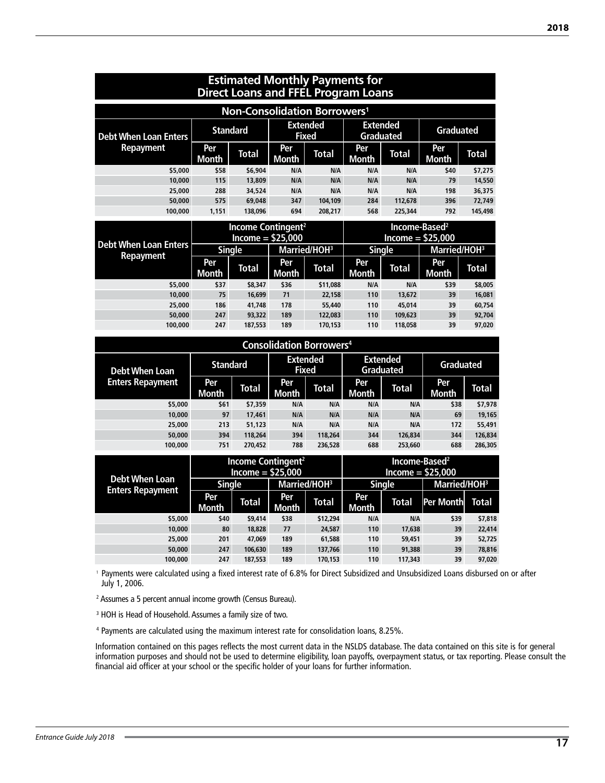| <b>Estimated Monthly Payments for</b><br><b>Direct Loans and FFEL Program Loans</b> |                     |                                                      |                                 |                          |                                     |               |                                                 |              |
|-------------------------------------------------------------------------------------|---------------------|------------------------------------------------------|---------------------------------|--------------------------|-------------------------------------|---------------|-------------------------------------------------|--------------|
|                                                                                     |                     | Non-Consolidation Borrowers <sup>1</sup>             |                                 |                          |                                     |               |                                                 |              |
| <b>Debt When Loan Enters</b>                                                        | <b>Standard</b>     |                                                      | <b>Extended</b><br><b>Fixed</b> |                          | <b>Extended</b><br><b>Graduated</b> |               | <b>Graduated</b>                                |              |
| <b>Repayment</b>                                                                    | Per<br>Month        | Total                                                | Per<br>Month                    | Total                    | Per<br>Month                        | Total         | Per<br>Month                                    | Total        |
| \$5,000                                                                             | \$58                | \$6,904                                              | N/A                             | N/A                      | N/A                                 | N/A           | \$40                                            | \$7,275      |
| 10,000                                                                              | 115                 | 13,809                                               | N/A                             | N/A                      | N/A                                 | N/A           | 79                                              | 14,550       |
| 25,000                                                                              | 288                 | 34,524                                               | N/A                             | N/A                      | N/A                                 | N/A           | 198                                             | 36,375       |
| 50,000                                                                              | 575                 | 69,048                                               | 347                             | 104.109                  | 284                                 | 112.678       | 396                                             | 72.749       |
| 100,000                                                                             | 1,151               | 138,096                                              | 694                             | 208,217                  | 568                                 | 225,344       | 792                                             | 145,498      |
|                                                                                     |                     | Income Contingent <sup>2</sup><br>Income = $$25,000$ |                                 |                          |                                     |               | Income-Based <sup>2</sup><br>$Income = $25,000$ |              |
| <b>Debt When Loan Enters</b>                                                        |                     | <b>Single</b>                                        |                                 | Married/HOH <sup>3</sup> |                                     | <b>Single</b> | Married/HOH <sup>3</sup>                        |              |
| <b>Repayment</b>                                                                    | Per<br><b>Month</b> | <b>Total</b>                                         | Per<br>Month                    | Total                    | Per<br>Month                        | Total         | Per<br>Month                                    | <b>Total</b> |
| \$5,000                                                                             | \$37                | \$8,347                                              | \$36                            | \$11,088                 | N/A                                 | N/A           | \$39                                            | \$8,005      |
| 10,000                                                                              | 75                  | 16.699                                               | 71                              | 22,158                   | 110                                 | 13,672        | 39                                              | 16,081       |
| 25,000                                                                              | 186                 | 41.748                                               | 178                             | 55,440                   | 110                                 | 45.014        | 39                                              | 60.754       |
| 50,000                                                                              | 247                 | 93,322                                               | 189                             | 122,083                  | 110                                 | 109,623       | 39                                              | 92.704       |
| 100,000                                                                             | 247                 | 187,553                                              | 189                             | 170,153                  | 110                                 | 118,058       | 39                                              | 97,020       |

| <b>Consolidation Borrowers4</b> |                                                    |              |                                     |         |                  |              |               |              |
|---------------------------------|----------------------------------------------------|--------------|-------------------------------------|---------|------------------|--------------|---------------|--------------|
| <b>Debt When Loan</b>           | <b>Extended</b><br><b>Standard</b><br><b>Fixed</b> |              | <b>Extended</b><br><b>Graduated</b> |         | <b>Graduated</b> |              |               |              |
| <b>Enters Repayment</b>         | Per<br><b>Month</b>                                | <b>Total</b> | Per<br><b>Month</b>                 | Total   | Per<br>Month     | <b>Total</b> | Per:<br>Month | <b>Total</b> |
| \$5,000                         | \$61                                               | \$7,359      | N/A                                 | N/A     | N/A              | N/A          | \$38          | \$7,978      |
| 10,000                          | 97                                                 | 17,461       | N/A                                 | N/A     | N/A              | N/A          | 69            | 19,165       |
| 25,000                          | 213                                                | 51,123       | N/A                                 | N/A     | N/A              | N/A          | 172           | 55,491       |
| 50,000                          | 394                                                | 118,264      | 394                                 | 118,264 | 344              | 126,834      | 344           | 126,834      |
| 100.000                         | 751                                                | 270.452      | 788                                 | 236,528 | 688              | 253,660      | 688           | 286.305      |
|                                 |                                                    |              |                                     |         |                  |              |               |              |

|                         |                     | Income Contingent <sup>2</sup><br>$Income = $25,000$ |              |               |              | Income-Based <sup>2</sup><br>$Income = $25,000$ |                 |         |
|-------------------------|---------------------|------------------------------------------------------|--------------|---------------|--------------|-------------------------------------------------|-----------------|---------|
| <b>Debt When Loan</b>   |                     | Married/HOH <sup>3</sup><br><b>Single</b>            |              | <b>Single</b> |              | Married/HOH <sup>3</sup>                        |                 |         |
| <b>Enters Repayment</b> | Per<br><b>Month</b> | Total                                                | Per<br>Month | <b>Total</b>  | Per<br>Month | <b>Total</b>                                    | Per Month Total |         |
| \$5,000                 | \$40                | \$9,414                                              | \$38         | \$12,294      | N/A          | N/A                                             | \$39            | \$7,818 |
| 10,000                  | 80                  | 18,828                                               | 77           | 24,587        | 110          | 17,638                                          | 39              | 22,414  |
| 25,000                  | 201                 | 47.069                                               | 189          | 61,588        | 110          | 59,451                                          | 39              | 52,725  |
| 50,000                  | 247                 | 106,630                                              | 189          | 137,766       | 110          | 91,388                                          | 39              | 78,816  |
| 100,000                 | 247                 | 187,553                                              | 189          | 170.153       | 110          | 117,343                                         | 39              | 97.020  |

<sup>1</sup> Payments were calculated using a fixed interest rate of 6.8% for Direct Subsidized and Unsubsidized Loans disbursed on or after July 1, 2006.

<sup>2</sup> Assumes a 5 percent annual income growth (Census Bureau).

<sup>3</sup> HOH is Head of Household. Assumes a family size of two.

4 Payments are calculated using the maximum interest rate for consolidation loans, 8.25%.

Information contained on this pages reflects the most current data in the NSLDS database. The data contained on this site is for general information purposes and should not be used to determine eligibility, loan payoffs, overpayment status, or tax reporting. Please consult the financial aid officer at your school or the specific holder of your loans for further information.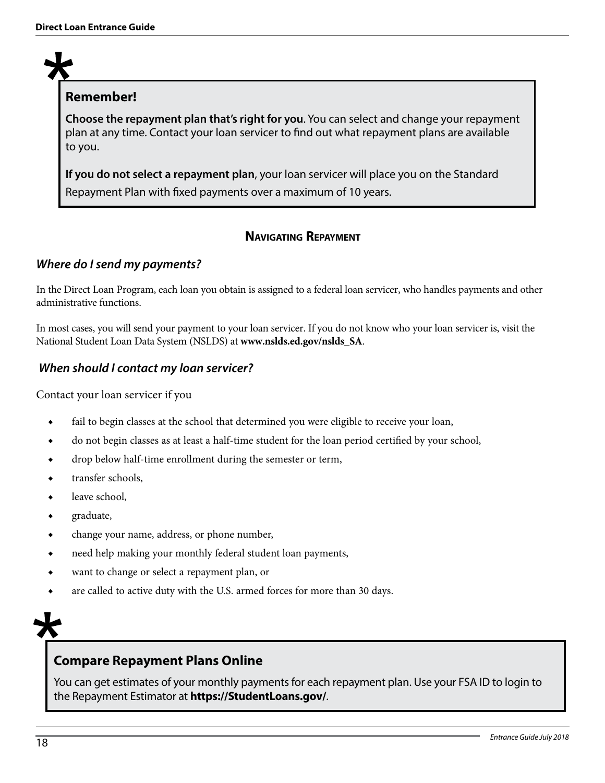# **Remember!**

**Choose the repayment plan that's right for you**. You can select and change your repayment plan at any time. Contact your loan servicer to find out what repayment plans are available to you.

**If you do not select a repayment plan**, your loan servicer will place you on the Standard Repayment Plan with fixed payments over a maximum of 10 years.

# **Navigating Repayment**

# *Where do I send my payments?*

In the Direct Loan Program, each loan you obtain is assigned to a federal loan servicer, who handles payments and other administrative functions.

In most cases, you will send your payment to your loan servicer. If you do not know who your loan servicer is, visit the National Student Loan Data System (NSLDS) at **www.nslds.ed.gov/nslds\_SA**.

# *When should I contact my loan servicer?*

Contact your loan servicer if you

- ◆ fail to begin classes at the school that determined you were eligible to receive your loan,
- do not begin classes as at least a half-time student for the loan period certified by your school,
- ◆ drop below half-time enrollment during the semester or term,
- ◆ transfer schools,
- $\bullet$  leave school,
- ◆ graduate,
- ◆ change your name, address, or phone number,
- ◆ need help making your monthly federal student loan payments,
- ◆ want to change or select a repayment plan, or
- are called to active duty with the U.S. armed forces for more than 30 days.

# **Compare Repayment Plans Online**

You can get estimates of your monthly payments for each repayment plan. Use your FSA ID to login to the Repayment Estimator at **https://StudentLoans.gov/**.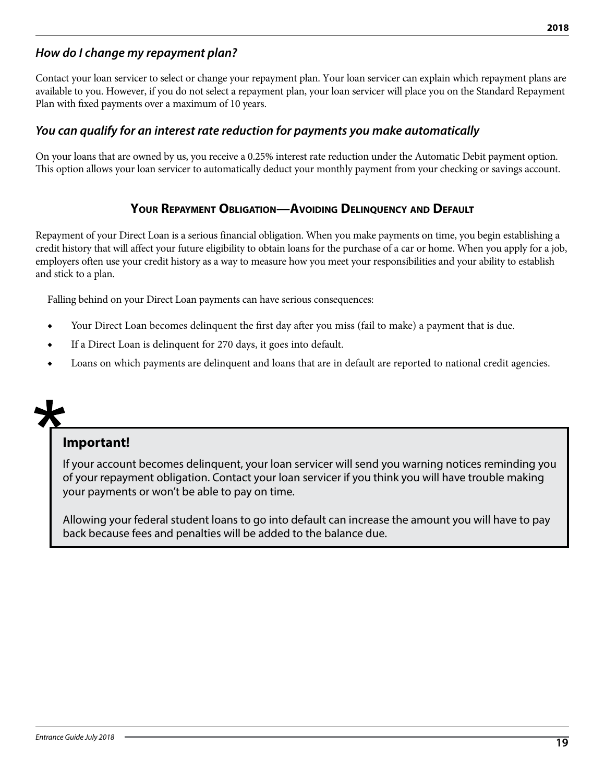# *How do I change my repayment plan?*

Contact your loan servicer to select or change your repayment plan. Your loan servicer can explain which repayment plans are available to you. However, if you do not select a repayment plan, your loan servicer will place you on the Standard Repayment Plan with fixed payments over a maximum of 10 years.

### *You can qualify for an interest rate reduction for payments you make automatically*

On your loans that are owned by us, you receive a 0.25% interest rate reduction under the Automatic Debit payment option. This option allows your loan servicer to automatically deduct your monthly payment from your checking or savings account.

#### **Your Repayment Obligation—Avoiding Delinquency and Default**

Repayment of your Direct Loan is a serious financial obligation. When you make payments on time, you begin establishing a credit history that will affect your future eligibility to obtain loans for the purchase of a car or home. When you apply for a job, employers often use your credit history as a way to measure how you meet your responsibilities and your ability to establish and stick to a plan.

Falling behind on your Direct Loan payments can have serious consequences:

- Your Direct Loan becomes delinquent the first day after you miss (fail to make) a payment that is due.
- If a Direct Loan is delinquent for 270 days, it goes into default.
- Loans on which payments are delinquent and loans that are in default are reported to national credit agencies.

# **Important!**

If your account becomes delinquent, your loan servicer will send you warning notices reminding you of your repayment obligation. Contact your loan servicer if you think you will have trouble making your payments or won't be able to pay on time.

Allowing your federal student loans to go into default can increase the amount you will have to pay back because fees and penalties will be added to the balance due.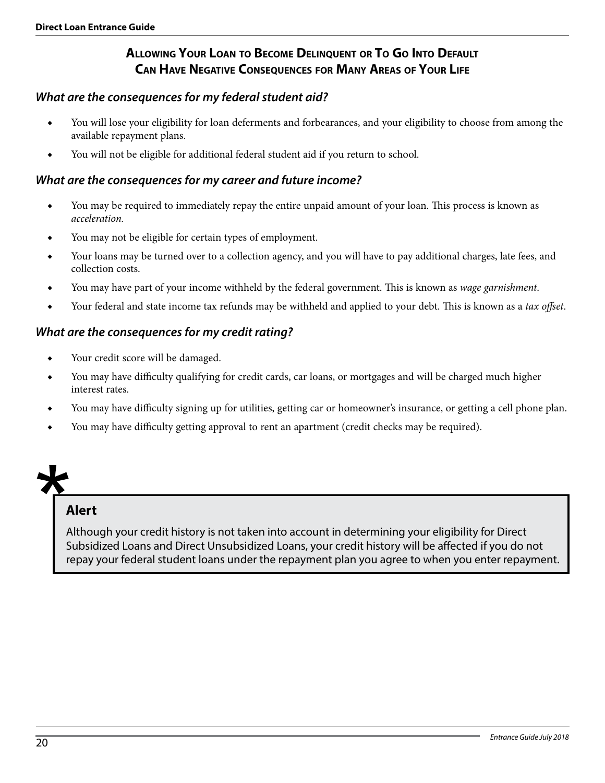# **Allowing Your Loan to Become Delinquent or To Go Into Default Can Have Negative Consequences for Many Areas of Your Life**

#### *What are the consequences for my federal student aid?*

- ◆ You will lose your eligibility for loan deferments and forbearances, and your eligibility to choose from among the available repayment plans.
- You will not be eligible for additional federal student aid if you return to school.

#### *What are the consequences for my career and future income?*

- You may be required to immediately repay the entire unpaid amount of your loan. This process is known as *acceleration.*
- ◆ You may not be eligible for certain types of employment.
- ◆ Your loans may be turned over to a collection agency, and you will have to pay additional charges, late fees, and collection costs.
- ◆ You may have part of your income withheld by the federal government. This is known as *wage garnishment*.
- ◆ Your federal and state income tax refunds may be withheld and applied to your debt. This is known as a *tax offset*.

#### *What are the consequences for my credit rating?*

- Your credit score will be damaged.
- ◆ You may have difficulty qualifying for credit cards, car loans, or mortgages and will be charged much higher interest rates.
- You may have difficulty signing up for utilities, getting car or homeowner's insurance, or getting a cell phone plan.
- You may have difficulty getting approval to rent an apartment (credit checks may be required).

# **Alert**

Although your credit history is not taken into account in determining your eligibility for Direct Subsidized Loans and Direct Unsubsidized Loans, your credit history will be affected if you do not repay your federal student loans under the repayment plan you agree to when you enter repayment.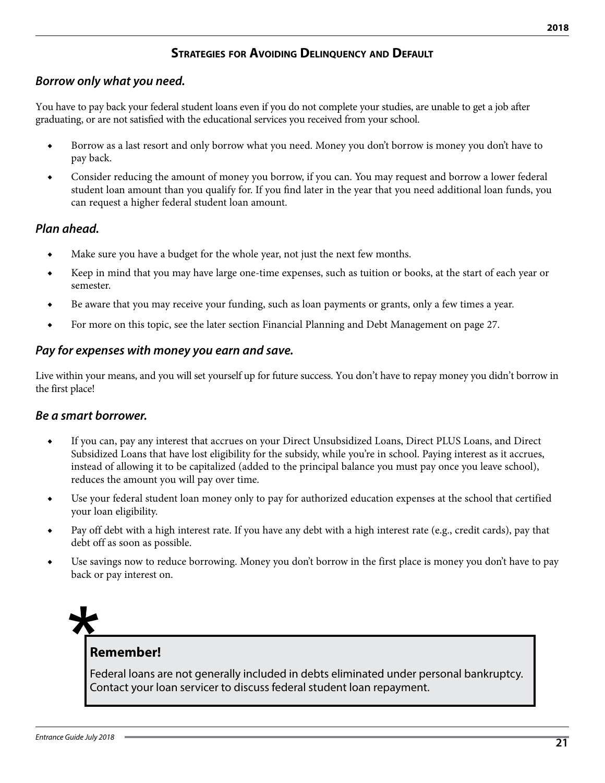# **Strategies for Avoiding Delinquency and Default**

# *Borrow only what you need.*

You have to pay back your federal student loans even if you do not complete your studies, are unable to get a job after graduating, or are not satisfied with the educational services you received from your school.

- Borrow as a last resort and only borrow what you need. Money you don't borrow is money you don't have to pay back.
- Consider reducing the amount of money you borrow, if you can. You may request and borrow a lower federal student loan amount than you qualify for. If you find later in the year that you need additional loan funds, you can request a higher federal student loan amount.

### *Plan ahead.*

- ◆ Make sure you have a budget for the whole year, not just the next few months.
- Keep in mind that you may have large one-time expenses, such as tuition or books, at the start of each year or semester.
- Be aware that you may receive your funding, such as loan payments or grants, only a few times a year.
- For more on this topic, see the later section Financial Planning and Debt Management on page 27.

#### *Pay for expenses with money you earn and save.*

Live within your means, and you will set yourself up for future success. You don't have to repay money you didn't borrow in the first place!

#### *Be a smart borrower.*

- If you can, pay any interest that accrues on your Direct Unsubsidized Loans, Direct PLUS Loans, and Direct Subsidized Loans that have lost eligibility for the subsidy, while you're in school. Paying interest as it accrues, instead of allowing it to be capitalized (added to the principal balance you must pay once you leave school), reduces the amount you will pay over time.
- ◆ Use your federal student loan money only to pay for authorized education expenses at the school that certified your loan eligibility.
- Pay off debt with a high interest rate. If you have any debt with a high interest rate (e.g., credit cards), pay that debt off as soon as possible.
- Use savings now to reduce borrowing. Money you don't borrow in the first place is money you don't have to pay back or pay interest on.

# **Remember!**

Federal loans are not generally included in debts eliminated under personal bankruptcy. Contact your loan servicer to discuss federal student loan repayment.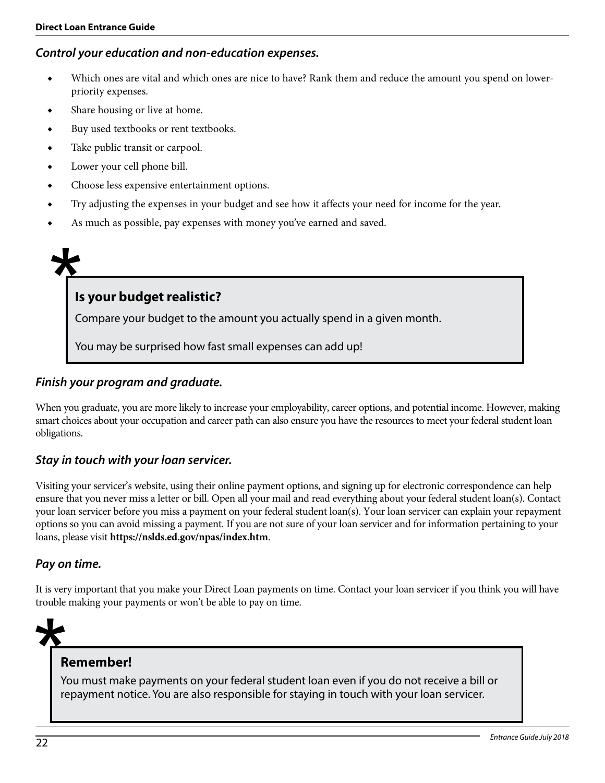#### *Control your education and non-education expenses.*

- Which ones are vital and which ones are nice to have? Rank them and reduce the amount you spend on lowerpriority expenses.
- ◆ Share housing or live at home.
- ◆ Buy used textbooks or rent textbooks.
- ◆ Take public transit or carpool.
- ◆ Lower your cell phone bill.
- Choose less expensive entertainment options.
- ◆ Try adjusting the expenses in your budget and see how it affects your need for income for the year.
- As much as possible, pay expenses with money you've earned and saved.

# **Is your budget realistic?**

Compare your budget to the amount you actually spend in a given month.

You may be surprised how fast small expenses can add up!

#### *Finish your program and graduate.*

When you graduate, you are more likely to increase your employability, career options, and potential income. However, making smart choices about your occupation and career path can also ensure you have the resources to meet your federal student loan obligations.

#### *Stay in touch with your loan servicer.*

Visiting your servicer's website, using their online payment options, and signing up for electronic correspondence can help ensure that you never miss a letter or bill. Open all your mail and read everything about your federal student loan(s). Contact your loan servicer before you miss a payment on your federal student loan(s). Your loan servicer can explain your repayment options so you can avoid missing a payment. If you are not sure of your loan servicer and for information pertaining to your loans, please visit **https://nslds.ed.gov/npas/index.htm**.

#### *Pay on time.*

It is very important that you make your Direct Loan payments on time. Contact your loan servicer if you think you will have trouble making your payments or won't be able to pay on time.

# **Remember!**

You must make payments on your federal student loan even if you do not receive a bill or repayment notice. You are also responsible for staying in touch with your loan servicer.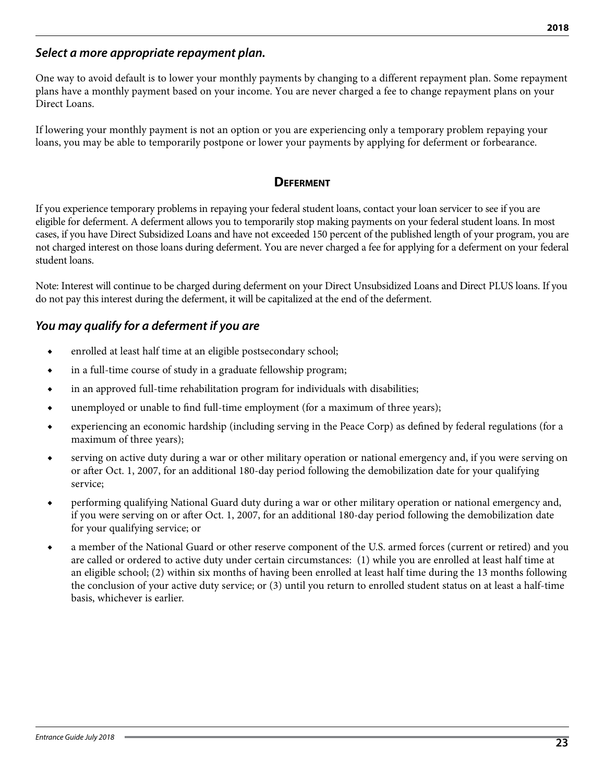#### *Select a more appropriate repayment plan.*

One way to avoid default is to lower your monthly payments by changing to a different repayment plan. Some repayment plans have a monthly payment based on your income. You are never charged a fee to change repayment plans on your Direct Loans.

If lowering your monthly payment is not an option or you are experiencing only a temporary problem repaying your loans, you may be able to temporarily postpone or lower your payments by applying for deferment or forbearance.

#### **Deferment**

If you experience temporary problems in repaying your federal student loans, contact your loan servicer to see if you are eligible for deferment. A deferment allows you to temporarily stop making payments on your federal student loans. In most cases, if you have Direct Subsidized Loans and have not exceeded 150 percent of the published length of your program, you are not charged interest on those loans during deferment. You are never charged a fee for applying for a deferment on your federal student loans.

Note: Interest will continue to be charged during deferment on your Direct Unsubsidized Loans and Direct PLUS loans. If you do not pay this interest during the deferment, it will be capitalized at the end of the deferment.

### *You may qualify for a deferment if you are*

- ◆ enrolled at least half time at an eligible postsecondary school;
- ◆ in a full-time course of study in a graduate fellowship program;
- ◆ in an approved full-time rehabilitation program for individuals with disabilities;
- ◆ unemployed or unable to find full-time employment (for a maximum of three years);
- ◆ experiencing an economic hardship (including serving in the Peace Corp) as defined by federal regulations (for a maximum of three years);
- serving on active duty during a war or other military operation or national emergency and, if you were serving on or after Oct. 1, 2007, for an additional 180-day period following the demobilization date for your qualifying service;
- ◆ performing qualifying National Guard duty during a war or other military operation or national emergency and, if you were serving on or after Oct. 1, 2007, for an additional 180-day period following the demobilization date for your qualifying service; or
- ◆ a member of the National Guard or other reserve component of the U.S. armed forces (current or retired) and you are called or ordered to active duty under certain circumstances: (1) while you are enrolled at least half time at an eligible school; (2) within six months of having been enrolled at least half time during the 13 months following the conclusion of your active duty service; or (3) until you return to enrolled student status on at least a half-time basis, whichever is earlier.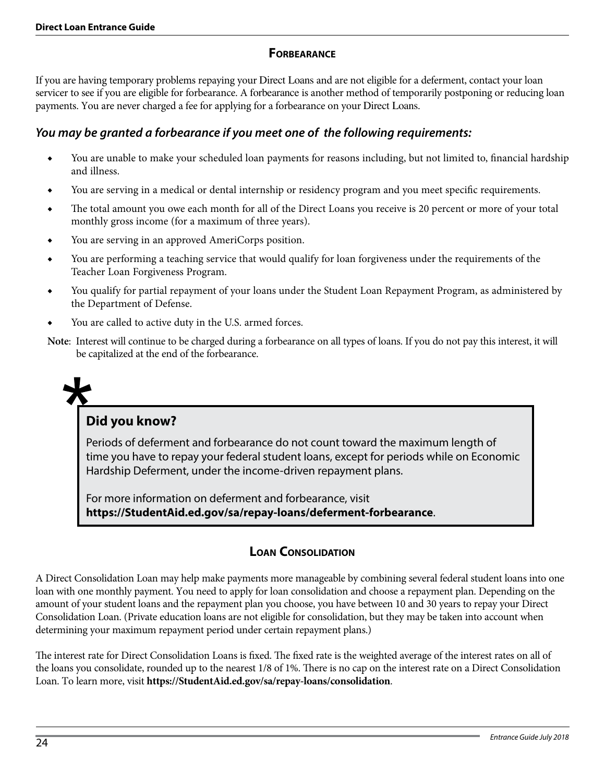### **Forbearance**

If you are having temporary problems repaying your Direct Loans and are not eligible for a deferment, contact your loan servicer to see if you are eligible for forbearance. A forbearance is another method of temporarily postponing or reducing loan payments. You are never charged a fee for applying for a forbearance on your Direct Loans.

# *You may be granted a forbearance if you meet one of the following requirements:*

- You are unable to make your scheduled loan payments for reasons including, but not limited to, financial hardship and illness.
- You are serving in a medical or dental internship or residency program and you meet specific requirements.
- ◆ The total amount you owe each month for all of the Direct Loans you receive is 20 percent or more of your total monthly gross income (for a maximum of three years).
- ◆ You are serving in an approved AmeriCorps position.
- ◆ You are performing a teaching service that would qualify for loan forgiveness under the requirements of the Teacher Loan Forgiveness Program.
- You qualify for partial repayment of your loans under the Student Loan Repayment Program, as administered by the Department of Defense.
- You are called to active duty in the U.S. armed forces.
- **Note**: Interest will continue to be charged during a forbearance on all types of loans. If you do not pay this interest, it will be capitalized at the end of the forbearance.



# **Did you know?**

Periods of deferment and forbearance do not count toward the maximum length of time you have to repay your federal student loans, except for periods while on Economic Hardship Deferment, under the income-driven repayment plans.

For more information on deferment and forbearance, visit **https://StudentAid.ed.gov/sa/repay-loans/deferment-forbearance**.

# **Loan Consolidation**

A Direct Consolidation Loan may help make payments more manageable by combining several federal student loans into one loan with one monthly payment. You need to apply for loan consolidation and choose a repayment plan. Depending on the amount of your student loans and the repayment plan you choose, you have between 10 and 30 years to repay your Direct Consolidation Loan. (Private education loans are not eligible for consolidation, but they may be taken into account when determining your maximum repayment period under certain repayment plans.)

The interest rate for Direct Consolidation Loans is fixed. The fixed rate is the weighted average of the interest rates on all of the loans you consolidate, rounded up to the nearest 1/8 of 1%. There is no cap on the interest rate on a Direct Consolidation Loan. To learn more, visit **https://StudentAid.ed.gov/sa/repay-loans/consolidation**.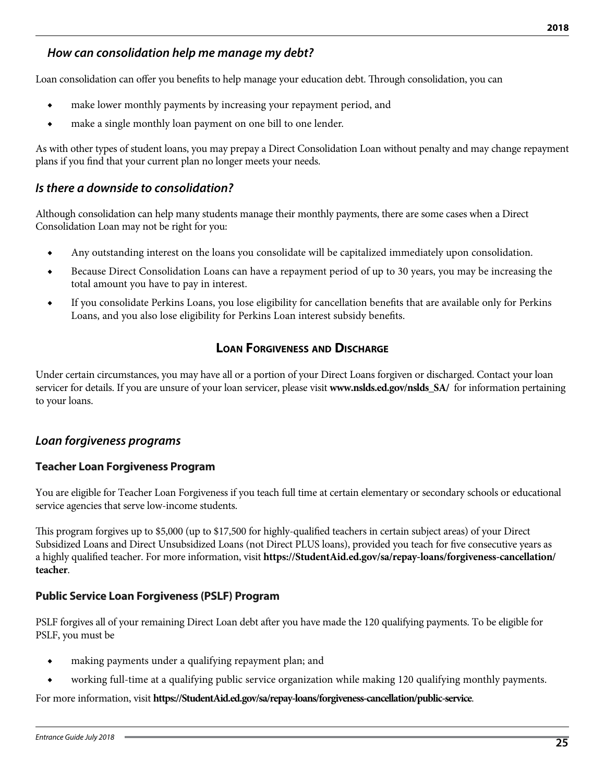# *How can consolidation help me manage my debt?*

Loan consolidation can offer you benefits to help manage your education debt. Through consolidation, you can

- ◆ make lower monthly payments by increasing your repayment period, and
- ◆ make a single monthly loan payment on one bill to one lender.

As with other types of student loans, you may prepay a Direct Consolidation Loan without penalty and may change repayment plans if you find that your current plan no longer meets your needs.

#### *Is there a downside to consolidation?*

Although consolidation can help many students manage their monthly payments, there are some cases when a Direct Consolidation Loan may not be right for you:

- ◆ Any outstanding interest on the loans you consolidate will be capitalized immediately upon consolidation.
- ◆ Because Direct Consolidation Loans can have a repayment period of up to 30 years, you may be increasing the total amount you have to pay in interest.
- ◆ If you consolidate Perkins Loans, you lose eligibility for cancellation benefits that are available only for Perkins Loans, and you also lose eligibility for Perkins Loan interest subsidy benefits.

#### **Loan Forgiveness and Discharge**

Under certain circumstances, you may have all or a portion of your Direct Loans forgiven or discharged. Contact your loan servicer for details. If you are unsure of your loan servicer, please visit **www.nslds.ed.gov/nslds\_SA/** for information pertaining to your loans.

#### *Loan forgiveness programs*

#### **Teacher Loan Forgiveness Program**

You are eligible for Teacher Loan Forgiveness if you teach full time at certain elementary or secondary schools or educational service agencies that serve low-income students.

This program forgives up to \$5,000 (up to \$17,500 for highly-qualified teachers in certain subject areas) of your Direct Subsidized Loans and Direct Unsubsidized Loans (not Direct PLUS loans), provided you teach for five consecutive years as a highly qualified teacher. For more information, visit **https://StudentAid.ed.gov/sa/repay-loans/forgiveness-cancellation/ teacher**.

#### **Public Service Loan Forgiveness (PSLF) Program**

PSLF forgives all of your remaining Direct Loan debt after you have made the 120 qualifying payments. To be eligible for PSLF, you must be

- making payments under a qualifying repayment plan; and
- working full-time at a qualifying public service organization while making 120 qualifying monthly payments.

For more information, visit **https://StudentAid.ed.gov/sa/repay-loans/forgiveness-cancellation/public-service**.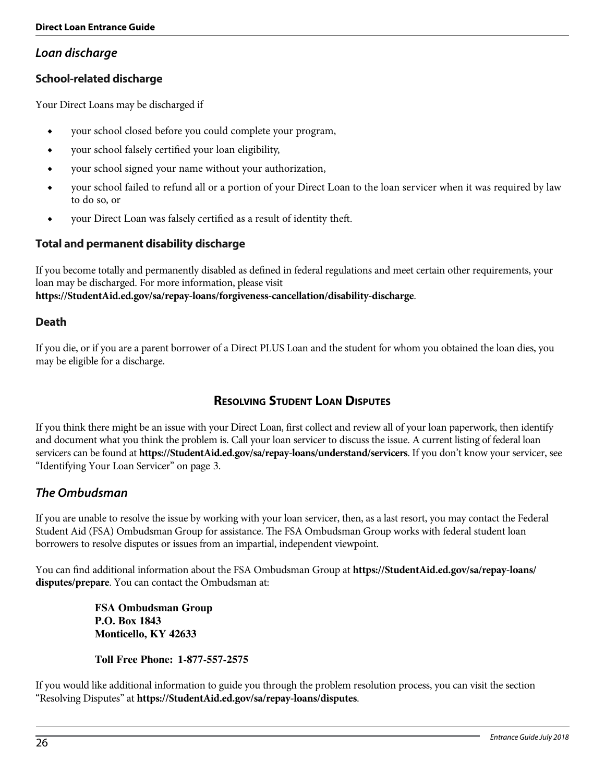### *Loan discharge*

#### **School-related discharge**

Your Direct Loans may be discharged if

- ◆ your school closed before you could complete your program,
- ◆ your school falsely certified your loan eligibility,
- ◆ your school signed your name without your authorization,
- ◆ your school failed to refund all or a portion of your Direct Loan to the loan servicer when it was required by law to do so, or
- your Direct Loan was falsely certified as a result of identity theft.

#### **Total and permanent disability discharge**

If you become totally and permanently disabled as defined in federal regulations and meet certain other requirements, your loan may be discharged. For more information, please visit **https://StudentAid.ed.gov/sa/repay-loans/forgiveness-cancellation/disability-discharge**.

#### **Death**

If you die, or if you are a parent borrower of a Direct PLUS Loan and the student for whom you obtained the loan dies, you may be eligible for a discharge.

# **Resolving Student Loan Disputes**

If you think there might be an issue with your Direct Loan, first collect and review all of your loan paperwork, then identify and document what you think the problem is. Call your loan servicer to discuss the issue. A current listing of federal loan servicers can be found at **https://StudentAid.ed.gov/sa/repay-loans/understand/servicers**. If you don't know your servicer, see "Identifying Your Loan Servicer" on page 3.

#### *The Ombudsman*

If you are unable to resolve the issue by working with your loan servicer, then, as a last resort, you may contact the Federal Student Aid (FSA) Ombudsman Group for assistance. The FSA Ombudsman Group works with federal student loan borrowers to resolve disputes or issues from an impartial, independent viewpoint.

You can find additional information about the FSA Ombudsman Group at **https://StudentAid.ed.gov/sa/repay-loans/ disputes/prepare**. You can contact the Ombudsman at:

> **FSA Ombudsman Group P.O. Box 1843 Monticello, KY 42633**

**Toll Free Phone: 1-877-557-2575**

If you would like additional information to guide you through the problem resolution process, you can visit the section "Resolving Disputes" at **https://StudentAid.ed.gov/sa/repay-loans/disputes**.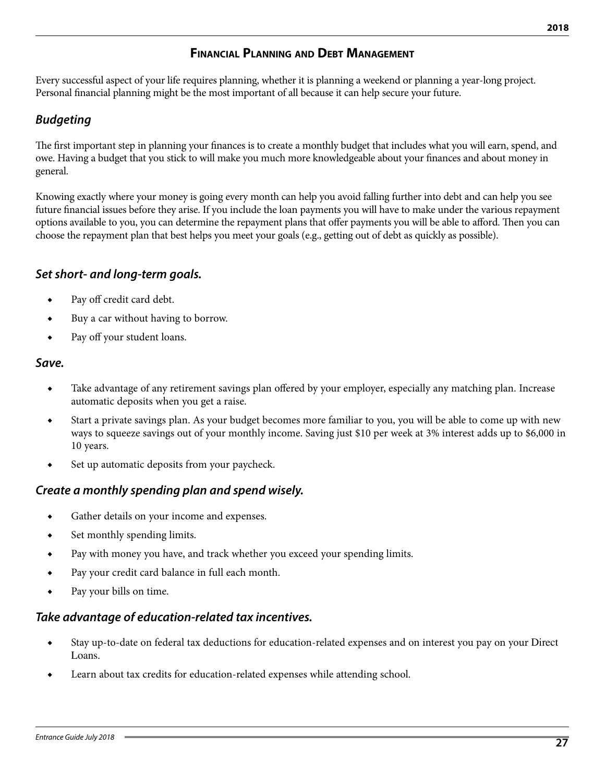# **Financial Planning and Debt Management**

Every successful aspect of your life requires planning, whether it is planning a weekend or planning a year-long project. Personal financial planning might be the most important of all because it can help secure your future.

### *Budgeting*

The first important step in planning your finances is to create a monthly budget that includes what you will earn, spend, and owe. Having a budget that you stick to will make you much more knowledgeable about your finances and about money in general.

Knowing exactly where your money is going every month can help you avoid falling further into debt and can help you see future financial issues before they arise. If you include the loan payments you will have to make under the various repayment options available to you, you can determine the repayment plans that offer payments you will be able to afford. Then you can choose the repayment plan that best helps you meet your goals (e.g., getting out of debt as quickly as possible).

### *Set short- and long-term goals.*

- ◆ Pay off credit card debt.
- ◆ Buy a car without having to borrow.
- ◆ Pay off your student loans.

#### *Save.*

- Take advantage of any retirement savings plan offered by your employer, especially any matching plan. Increase automatic deposits when you get a raise.
- Start a private savings plan. As your budget becomes more familiar to you, you will be able to come up with new ways to squeeze savings out of your monthly income. Saving just \$10 per week at 3% interest adds up to \$6,000 in 10 years.
- ◆ Set up automatic deposits from your paycheck.

# *Create a monthly spending plan and spend wisely.*

- ◆ Gather details on your income and expenses.
- ◆ Set monthly spending limits.
- ◆ Pay with money you have, and track whether you exceed your spending limits.
- ◆ Pay your credit card balance in full each month.
- ◆ Pay your bills on time.

#### *Take advantage of education-related tax incentives.*

- Stay up-to-date on federal tax deductions for education-related expenses and on interest you pay on your Direct Loans.
- Learn about tax credits for education-related expenses while attending school.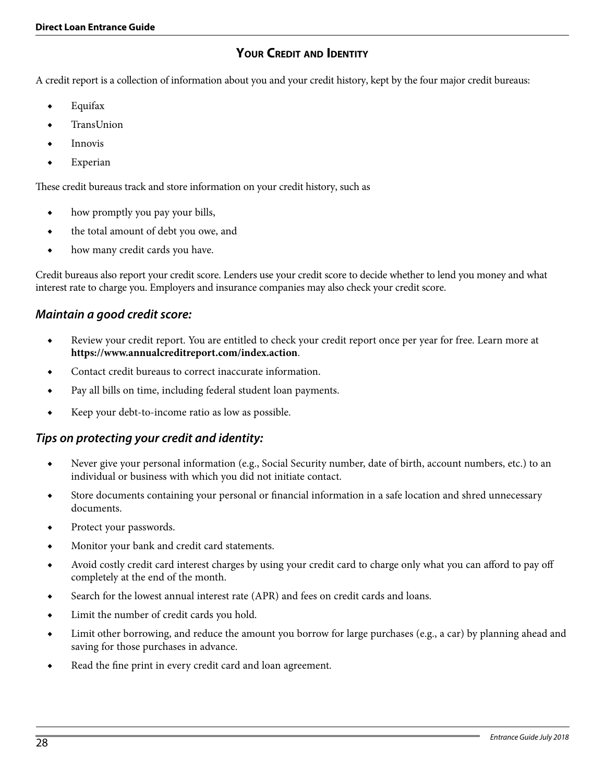# **Your Credit and Identity**

A credit report is a collection of information about you and your credit history, kept by the four major credit bureaus:

- **Equifax**
- **TransUnion**
- **Innovis**
- ◆ Experian

These credit bureaus track and store information on your credit history, such as

- ◆ how promptly you pay your bills,
- the total amount of debt you owe, and
- how many credit cards you have.

Credit bureaus also report your credit score. Lenders use your credit score to decide whether to lend you money and what interest rate to charge you. Employers and insurance companies may also check your credit score.

### *Maintain a good credit score:*

- ◆ Review your credit report. You are entitled to check your credit report once per year for free. Learn more at **https://www.annualcreditreport.com/index.action**.
- Contact credit bureaus to correct inaccurate information.
- Pay all bills on time, including federal student loan payments.
- ◆ Keep your debt-to-income ratio as low as possible.

#### *Tips on protecting your credit and identity:*

- Never give your personal information (e.g., Social Security number, date of birth, account numbers, etc.) to an individual or business with which you did not initiate contact.
- ◆ Store documents containing your personal or financial information in a safe location and shred unnecessary documents.
- ◆ Protect your passwords.
- Monitor your bank and credit card statements.
- Avoid costly credit card interest charges by using your credit card to charge only what you can afford to pay off completely at the end of the month.
- Search for the lowest annual interest rate (APR) and fees on credit cards and loans.
- Limit the number of credit cards you hold.
- Limit other borrowing, and reduce the amount you borrow for large purchases (e.g., a car) by planning ahead and saving for those purchases in advance.
- Read the fine print in every credit card and loan agreement.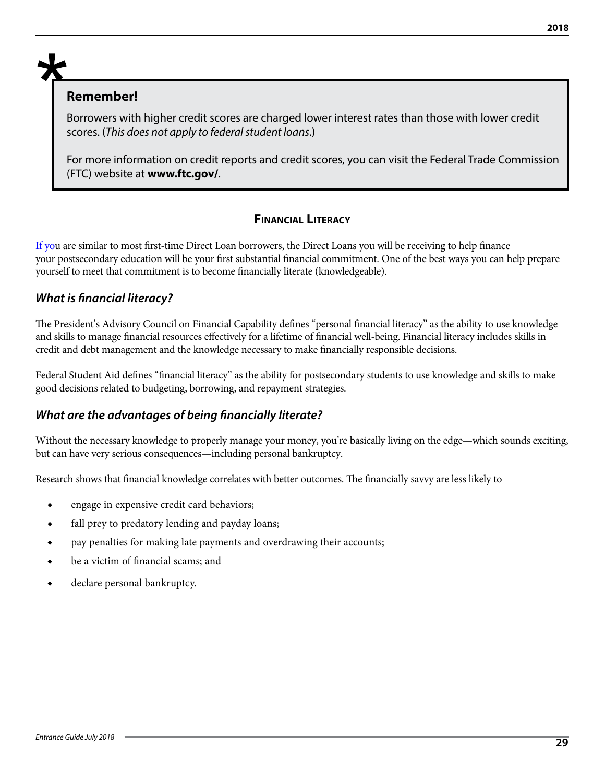#### **Remember!**

Borrowers with higher credit scores are charged lower interest rates than those with lower credit scores. (*This does not apply to federal student loans*.)

For more information on credit reports and credit scores, you can visit the Federal Trade Commission (FTC) website at **www.ftc.gov/**.

# **Financial Literacy**

If you are similar to most first-time Direct Loan borrowers, the Direct Loans you will be receiving to help finance your postsecondary education will be your first substantial financial commitment. One of the best ways you can help prepare yourself to meet that commitment is to become financially literate (knowledgeable).

# *What is financial literacy?*

The President's Advisory Council on Financial Capability defines "personal financial literacy" as the ability to use knowledge and skills to manage financial resources effectively for a lifetime of financial well-being. Financial literacy includes skills in credit and debt management and the knowledge necessary to make financially responsible decisions.

Federal Student Aid defines "financial literacy" as the ability for postsecondary students to use knowledge and skills to make good decisions related to budgeting, borrowing, and repayment strategies.

# *What are the advantages of being financially literate?*

Without the necessary knowledge to properly manage your money, you're basically living on the edge—which sounds exciting, but can have very serious consequences—including personal bankruptcy.

Research shows that financial knowledge correlates with better outcomes. The financially savvy are less likely to

- ◆ engage in expensive credit card behaviors;
- ◆ fall prey to predatory lending and payday loans;
- ◆ pay penalties for making late payments and overdrawing their accounts;
- be a victim of financial scams; and
- declare personal bankruptcy.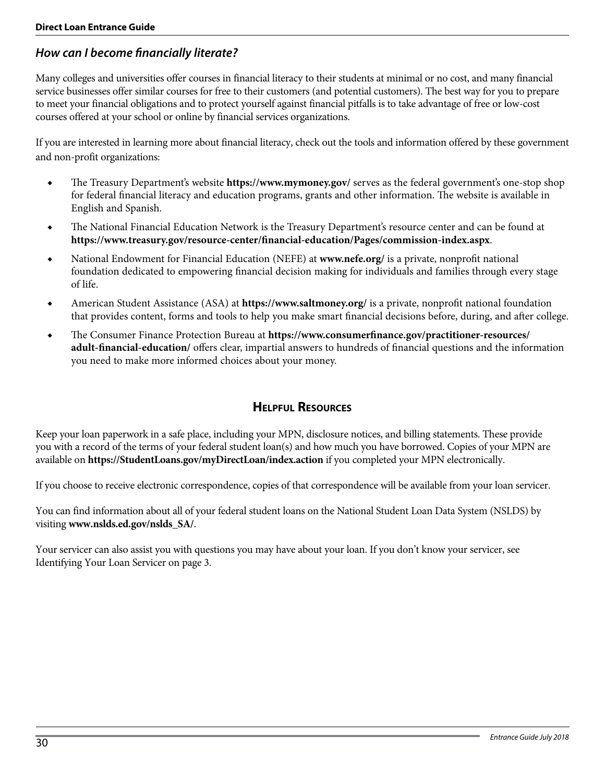# *How can I become financially literate?*

Many colleges and universities offer courses in financial literacy to their students at minimal or no cost, and many financial service businesses offer similar courses for free to their customers (and potential customers). The best way for you to prepare to meet your financial obligations and to protect yourself against financial pitfalls is to take advantage of free or low-cost courses offered at your school or online by financial services organizations.

If you are interested in learning more about financial literacy, check out the tools and information offered by these government and non-profit organizations:

- ◆ The Treasury Department's website **https://www.mymoney.gov/** serves as the federal government's one-stop shop for federal financial literacy and education programs, grants and other information. The website is available in English and Spanish.
- ◆ The National Financial Education Network is the Treasury Department's resource center and can be found at **https://www.treasury.gov/resource-center/financial-education/Pages/commission-index.aspx**.
- National Endowment for Financial Education (NEFE) at **www.nefe.org**/ is a private, nonprofit national foundation dedicated to empowering financial decision making for individuals and families through every stage of life.
- ◆ American Student Assistance (ASA) at **https://www.saltmoney.org/** is a private, nonprofit national foundation that provides content, forms and tools to help you make smart financial decisions before, during, and after college.
- ◆ The Consumer Finance Protection Bureau at **https://www.consumerfinance.gov/practitioner-resources/ adult-financial-education/** offers clear, impartial answers to hundreds of financial questions and the information you need to make more informed choices about your money.

# **Helpful Resources**

Keep your loan paperwork in a safe place, including your MPN, disclosure notices, and billing statements. These provide you with a record of the terms of your federal student loan(s) and how much you have borrowed. Copies of your MPN are available on **https://StudentLoans.gov/myDirectLoan/index.action** if you completed your MPN electronically.

If you choose to receive electronic correspondence, copies of that correspondence will be available from your loan servicer.

You can find information about all of your federal student loans on the National Student Loan Data System (NSLDS) by visiting **www.nslds.ed.gov/nslds\_SA/**.

Your servicer can also assist you with questions you may have about your loan. If you don't know your servicer, see Identifying Your Loan Servicer on page 3.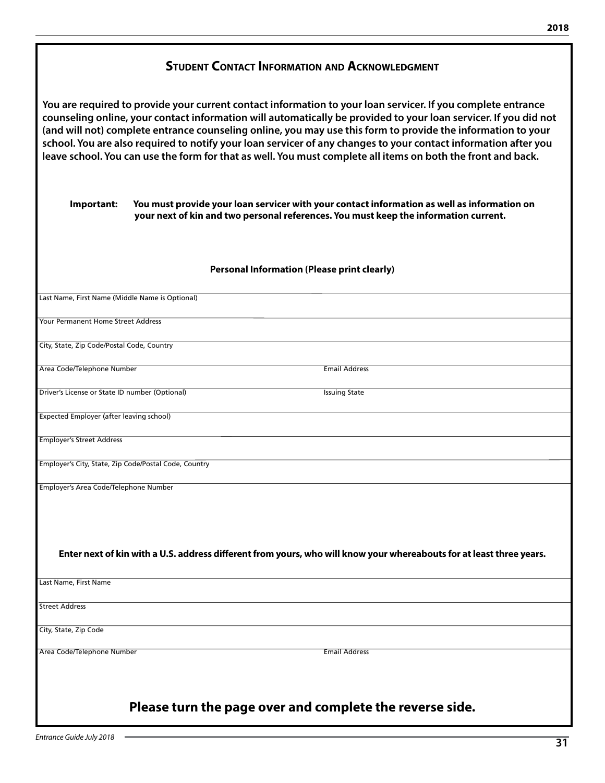| <b>STUDENT CONTACT INFORMATION AND ACKNOWLEDGMENT</b>                                                                                                                                                                                                                                                                                                                                                                                                                                                                                                                               |  |  |  |  |  |
|-------------------------------------------------------------------------------------------------------------------------------------------------------------------------------------------------------------------------------------------------------------------------------------------------------------------------------------------------------------------------------------------------------------------------------------------------------------------------------------------------------------------------------------------------------------------------------------|--|--|--|--|--|
| You are required to provide your current contact information to your loan servicer. If you complete entrance<br>counseling online, your contact information will automatically be provided to your loan servicer. If you did not<br>(and will not) complete entrance counseling online, you may use this form to provide the information to your<br>school. You are also required to notify your loan servicer of any changes to your contact information after you<br>leave school. You can use the form for that as well. You must complete all items on both the front and back. |  |  |  |  |  |
| You must provide your loan servicer with your contact information as well as information on<br>Important:<br>your next of kin and two personal references. You must keep the information current.                                                                                                                                                                                                                                                                                                                                                                                   |  |  |  |  |  |
| <b>Personal Information (Please print clearly)</b>                                                                                                                                                                                                                                                                                                                                                                                                                                                                                                                                  |  |  |  |  |  |
| Last Name, First Name (Middle Name is Optional)                                                                                                                                                                                                                                                                                                                                                                                                                                                                                                                                     |  |  |  |  |  |
| <b>Your Permanent Home Street Address</b>                                                                                                                                                                                                                                                                                                                                                                                                                                                                                                                                           |  |  |  |  |  |
| City, State, Zip Code/Postal Code, Country                                                                                                                                                                                                                                                                                                                                                                                                                                                                                                                                          |  |  |  |  |  |
| Area Code/Telephone Number<br><b>Email Address</b>                                                                                                                                                                                                                                                                                                                                                                                                                                                                                                                                  |  |  |  |  |  |
| Driver's License or State ID number (Optional)<br><b>Issuing State</b>                                                                                                                                                                                                                                                                                                                                                                                                                                                                                                              |  |  |  |  |  |
| Expected Employer (after leaving school)                                                                                                                                                                                                                                                                                                                                                                                                                                                                                                                                            |  |  |  |  |  |
| <b>Employer's Street Address</b>                                                                                                                                                                                                                                                                                                                                                                                                                                                                                                                                                    |  |  |  |  |  |
| Employer's City, State, Zip Code/Postal Code, Country                                                                                                                                                                                                                                                                                                                                                                                                                                                                                                                               |  |  |  |  |  |
| Employer's Area Code/Telephone Number                                                                                                                                                                                                                                                                                                                                                                                                                                                                                                                                               |  |  |  |  |  |
|                                                                                                                                                                                                                                                                                                                                                                                                                                                                                                                                                                                     |  |  |  |  |  |
|                                                                                                                                                                                                                                                                                                                                                                                                                                                                                                                                                                                     |  |  |  |  |  |
| Enter next of kin with a U.S. address different from yours, who will know your whereabouts for at least three years.                                                                                                                                                                                                                                                                                                                                                                                                                                                                |  |  |  |  |  |
| Last Name, First Name                                                                                                                                                                                                                                                                                                                                                                                                                                                                                                                                                               |  |  |  |  |  |
| <b>Street Address</b>                                                                                                                                                                                                                                                                                                                                                                                                                                                                                                                                                               |  |  |  |  |  |
| City, State, Zip Code                                                                                                                                                                                                                                                                                                                                                                                                                                                                                                                                                               |  |  |  |  |  |
| Area Code/Telephone Number<br><b>Email Address</b>                                                                                                                                                                                                                                                                                                                                                                                                                                                                                                                                  |  |  |  |  |  |
|                                                                                                                                                                                                                                                                                                                                                                                                                                                                                                                                                                                     |  |  |  |  |  |
| Please turn the page over and complete the reverse side.                                                                                                                                                                                                                                                                                                                                                                                                                                                                                                                            |  |  |  |  |  |

**2018**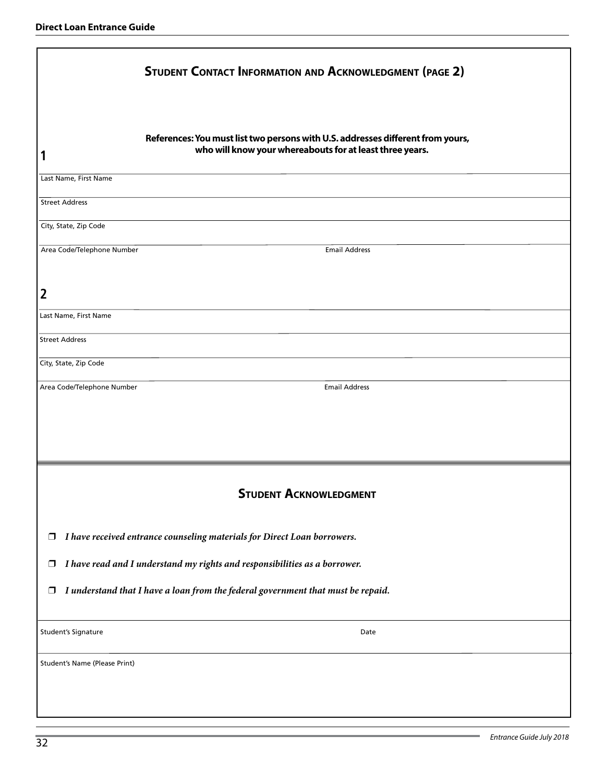|                               | <b>STUDENT CONTACT INFORMATION AND ACKNOWLEDGMENT (PAGE 2)</b>                                                                              |
|-------------------------------|---------------------------------------------------------------------------------------------------------------------------------------------|
| 1                             | References: You must list two persons with U.S. addresses different from yours,<br>who will know your whereabouts for at least three years. |
| Last Name, First Name         |                                                                                                                                             |
| <b>Street Address</b>         |                                                                                                                                             |
| City, State, Zip Code         |                                                                                                                                             |
| Area Code/Telephone Number    | <b>Email Address</b>                                                                                                                        |
| 2                             |                                                                                                                                             |
| Last Name, First Name         |                                                                                                                                             |
| <b>Street Address</b>         |                                                                                                                                             |
| City, State, Zip Code         |                                                                                                                                             |
| Area Code/Telephone Number    | <b>Email Address</b>                                                                                                                        |
|                               |                                                                                                                                             |
|                               |                                                                                                                                             |
|                               | <b>STUDENT ACKNOWLEDGMENT</b>                                                                                                               |
| $\Box$                        | I have received entrance counseling materials for Direct Loan borrowers.                                                                    |
| $\Box$                        | I have read and I understand my rights and responsibilities as a borrower.                                                                  |
| $\Box$                        | I understand that I have a loan from the federal government that must be repaid.                                                            |
| Student's Signature           | Date                                                                                                                                        |
| Student's Name (Please Print) |                                                                                                                                             |
|                               |                                                                                                                                             |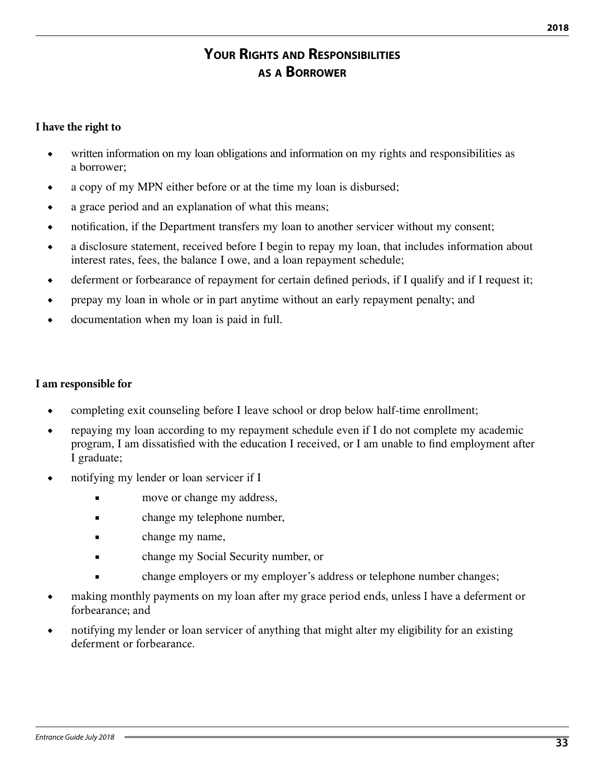# **Your Rights and Responsibilities as a Borrower**

#### **I have the right to**

- ◆ written information on my loan obligations and information on my rights and responsibilities as a borrower;
- ◆ a copy of my MPN either before or at the time my loan is disbursed;
- ◆ a grace period and an explanation of what this means;
- notification, if the Department transfers my loan to another servicer without my consent;
- ◆ a disclosure statement, received before I begin to repay my loan, that includes information about interest rates, fees, the balance I owe, and a loan repayment schedule;
- ◆ deferment or forbearance of repayment for certain defined periods, if I qualify and if I request it;
- prepay my loan in whole or in part anytime without an early repayment penalty; and
- documentation when my loan is paid in full.

#### **I am responsible for**

- completing exit counseling before I leave school or drop below half-time enrollment;
- repaying my loan according to my repayment schedule even if I do not complete my academic program, I am dissatisfied with the education I received, or I am unable to find employment after I graduate;
- notifying my lender or loan servicer if I
	- move or change my address,
	- change my telephone number,
	- change my name,
	- change my Social Security number, or
	- change employers or my employer's address or telephone number changes;
- making monthly payments on my loan after my grace period ends, unless I have a deferment or forbearance; and
- notifying my lender or loan servicer of anything that might alter my eligibility for an existing deferment or forbearance.